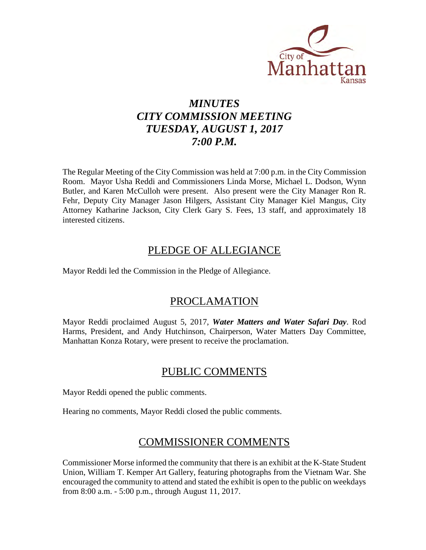

# *MINUTES CITY COMMISSION MEETING TUESDAY, AUGUST 1, 2017 7:00 P.M.*

The Regular Meeting of the City Commission was held at 7:00 p.m. in the City Commission Room. Mayor Usha Reddi and Commissioners Linda Morse, Michael L. Dodson, Wynn Butler, and Karen McCulloh were present. Also present were the City Manager Ron R. Fehr, Deputy City Manager Jason Hilgers, Assistant City Manager Kiel Mangus, City Attorney Katharine Jackson, City Clerk Gary S. Fees, 13 staff, and approximately 18 interested citizens.

## PLEDGE OF ALLEGIANCE

Mayor Reddi led the Commission in the Pledge of Allegiance.

## PROCLAMATION

Mayor Reddi proclaimed August 5, 2017, *Water Matters and Water Safari Day*. Rod Harms, President, and Andy Hutchinson, Chairperson, Water Matters Day Committee, Manhattan Konza Rotary, were present to receive the proclamation.

## PUBLIC COMMENTS

Mayor Reddi opened the public comments.

Hearing no comments, Mayor Reddi closed the public comments.

# COMMISSIONER COMMENTS

Commissioner Morse informed the community that there is an exhibit at the K-State Student Union, William T. Kemper Art Gallery, featuring photographs from the Vietnam War. She encouraged the community to attend and stated the exhibit is open to the public on weekdays from 8:00 a.m. - 5:00 p.m., through August 11, 2017.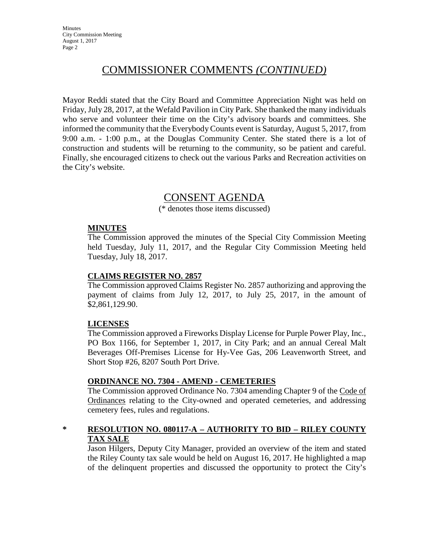# COMMISSIONER COMMENTS *(CONTINUED)*

Mayor Reddi stated that the City Board and Committee Appreciation Night was held on Friday, July 28, 2017, at the Wefald Pavilion in City Park. She thanked the many individuals who serve and volunteer their time on the City's advisory boards and committees. She informed the community that the Everybody Counts event is Saturday, August 5, 2017, from 9:00 a.m. - 1:00 p.m., at the Douglas Community Center. She stated there is a lot of construction and students will be returning to the community, so be patient and careful. Finally, she encouraged citizens to check out the various Parks and Recreation activities on the City's website.

## CONSENT AGENDA

(\* denotes those items discussed)

#### **MINUTES**

The Commission approved the minutes of the Special City Commission Meeting held Tuesday, July 11, 2017, and the Regular City Commission Meeting held Tuesday, July 18, 2017.

#### **CLAIMS REGISTER NO. 2857**

The Commission approved Claims Register No. 2857 authorizing and approving the payment of claims from July 12, 2017, to July 25, 2017, in the amount of \$2,861,129.90.

### **LICENSES**

The Commission approved a Fireworks Display License for Purple Power Play, Inc., PO Box 1166, for September 1, 2017, in City Park; and an annual Cereal Malt Beverages Off-Premises License for Hy-Vee Gas, 206 Leavenworth Street, and Short Stop #26, 8207 South Port Drive.

### **ORDINANCE NO. 7304 - AMEND - CEMETERIES**

The Commission approved Ordinance No. 7304 amending Chapter 9 of the Code of Ordinances relating to the City-owned and operated cemeteries, and addressing cemetery fees, rules and regulations.

## **\* RESOLUTION NO. 080117-A – AUTHORITY TO BID – RILEY COUNTY TAX SALE**

Jason Hilgers, Deputy City Manager, provided an overview of the item and stated the Riley County tax sale would be held on August 16, 2017. He highlighted a map of the delinquent properties and discussed the opportunity to protect the City's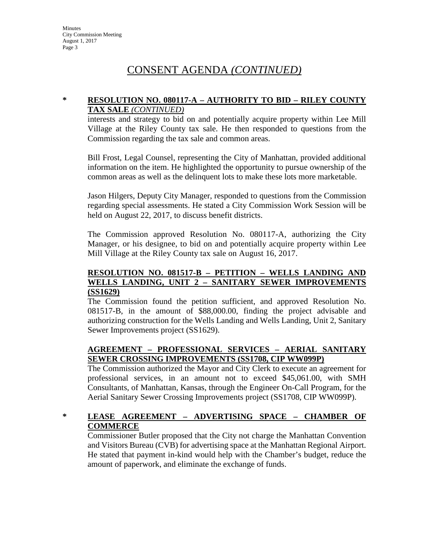# CONSENT AGENDA *(CONTINUED)*

#### **\* RESOLUTION NO. 080117-A – AUTHORITY TO BID – RILEY COUNTY TAX SALE** *(CONTINUED)*

interests and strategy to bid on and potentially acquire property within Lee Mill Village at the Riley County tax sale. He then responded to questions from the Commission regarding the tax sale and common areas.

Bill Frost, Legal Counsel, representing the City of Manhattan, provided additional information on the item. He highlighted the opportunity to pursue ownership of the common areas as well as the delinquent lots to make these lots more marketable.

Jason Hilgers, Deputy City Manager, responded to questions from the Commission regarding special assessments. He stated a City Commission Work Session will be held on August 22, 2017, to discuss benefit districts.

The Commission approved Resolution No. 080117-A, authorizing the City Manager, or his designee, to bid on and potentially acquire property within Lee Mill Village at the Riley County tax sale on August 16, 2017.

#### **RESOLUTION NO. 081517-B – PETITION – WELLS LANDING AND WELLS LANDING, UNIT 2 – SANITARY SEWER IMPROVEMENTS (SS1629)**

The Commission found the petition sufficient, and approved Resolution No. 081517-B, in the amount of \$88,000.00, finding the project advisable and authorizing construction for the Wells Landing and Wells Landing, Unit 2, Sanitary Sewer Improvements project (SS1629).

## **AGREEMENT – PROFESSIONAL SERVICES – AERIAL SANITARY SEWER CROSSING IMPROVEMENTS (SS1708, CIP WW099P)**

The Commission authorized the Mayor and City Clerk to execute an agreement for professional services, in an amount not to exceed \$45,061.00, with SMH Consultants, of Manhattan, Kansas, through the Engineer On-Call Program, for the Aerial Sanitary Sewer Crossing Improvements project (SS1708, CIP WW099P).

## **\* LEASE AGREEMENT – ADVERTISING SPACE – CHAMBER OF COMMERCE**

Commissioner Butler proposed that the City not charge the Manhattan Convention and Visitors Bureau (CVB) for advertising space at the Manhattan Regional Airport. He stated that payment in-kind would help with the Chamber's budget, reduce the amount of paperwork, and eliminate the exchange of funds.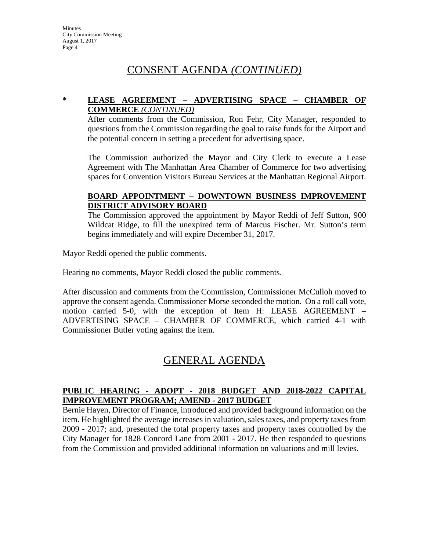# CONSENT AGENDA *(CONTINUED)*

#### **\* LEASE AGREEMENT – ADVERTISING SPACE – CHAMBER OF COMMERCE** *(CONTINUED)*

After comments from the Commission, Ron Fehr, City Manager, responded to questions from the Commission regarding the goal to raise funds for the Airport and the potential concern in setting a precedent for advertising space.

The Commission authorized the Mayor and City Clerk to execute a Lease Agreement with The Manhattan Area Chamber of Commerce for two advertising spaces for Convention Visitors Bureau Services at the Manhattan Regional Airport.

### **BOARD APPOINTMENT – DOWNTOWN BUSINESS IMPROVEMENT DISTRICT ADVISORY BOARD**

The Commission approved the appointment by Mayor Reddi of Jeff Sutton, 900 Wildcat Ridge, to fill the unexpired term of Marcus Fischer. Mr. Sutton's term begins immediately and will expire December 31, 2017.

Mayor Reddi opened the public comments.

Hearing no comments, Mayor Reddi closed the public comments.

After discussion and comments from the Commission, Commissioner McCulloh moved to approve the consent agenda. Commissioner Morse seconded the motion. On a roll call vote, motion carried 5-0, with the exception of Item H: LEASE AGREEMENT – ADVERTISING SPACE – CHAMBER OF COMMERCE, which carried 4-1 with Commissioner Butler voting against the item.

# GENERAL AGENDA

## **PUBLIC HEARING - ADOPT - 2018 BUDGET AND 2018-2022 CAPITAL IMPROVEMENT PROGRAM; AMEND - 2017 BUDGET**

Bernie Hayen, Director of Finance, introduced and provided background information on the item. He highlighted the average increases in valuation, sales taxes, and property taxes from 2009 - 2017; and, presented the total property taxes and property taxes controlled by the City Manager for 1828 Concord Lane from 2001 - 2017. He then responded to questions from the Commission and provided additional information on valuations and mill levies.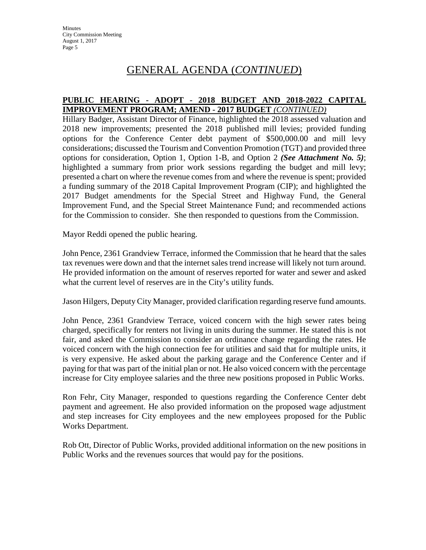#### **PUBLIC HEARING - ADOPT - 2018 BUDGET AND 2018-2022 CAPITAL IMPROVEMENT PROGRAM; AMEND - 2017 BUDGET** *(CONTINUED)*

Hillary Badger, Assistant Director of Finance, highlighted the 2018 assessed valuation and 2018 new improvements; presented the 2018 published mill levies; provided funding options for the Conference Center debt payment of \$500,000.00 and mill levy considerations; discussed the Tourism and Convention Promotion (TGT) and provided three options for consideration, Option 1, Option 1-B, and Option 2 *(See Attachment No. 5)*; highlighted a summary from prior work sessions regarding the budget and mill levy; presented a chart on where the revenue comes from and where the revenue is spent; provided a funding summary of the 2018 Capital Improvement Program (CIP); and highlighted the 2017 Budget amendments for the Special Street and Highway Fund, the General Improvement Fund, and the Special Street Maintenance Fund; and recommended actions for the Commission to consider. She then responded to questions from the Commission.

Mayor Reddi opened the public hearing.

John Pence, 2361 Grandview Terrace, informed the Commission that he heard that the sales tax revenues were down and that the internet sales trend increase will likely not turn around. He provided information on the amount of reserves reported for water and sewer and asked what the current level of reserves are in the City's utility funds.

Jason Hilgers, Deputy City Manager, provided clarification regarding reserve fund amounts.

John Pence, 2361 Grandview Terrace, voiced concern with the high sewer rates being charged, specifically for renters not living in units during the summer. He stated this is not fair, and asked the Commission to consider an ordinance change regarding the rates. He voiced concern with the high connection fee for utilities and said that for multiple units, it is very expensive. He asked about the parking garage and the Conference Center and if paying for that was part of the initial plan or not. He also voiced concern with the percentage increase for City employee salaries and the three new positions proposed in Public Works.

Ron Fehr, City Manager, responded to questions regarding the Conference Center debt payment and agreement. He also provided information on the proposed wage adjustment and step increases for City employees and the new employees proposed for the Public Works Department.

Rob Ott, Director of Public Works, provided additional information on the new positions in Public Works and the revenues sources that would pay for the positions.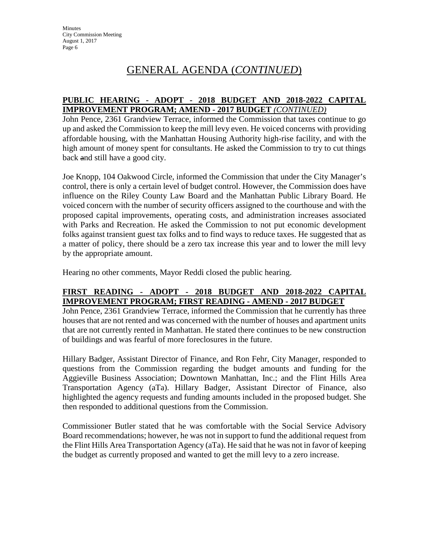#### **PUBLIC HEARING - ADOPT - 2018 BUDGET AND 2018-2022 CAPITAL IMPROVEMENT PROGRAM; AMEND - 2017 BUDGET** *(CONTINUED)*

John Pence, 2361 Grandview Terrace, informed the Commission that taxes continue to go up and asked the Commission to keep the mill levy even. He voiced concerns with providing affordable housing, with the Manhattan Housing Authority high-rise facility, and with the high amount of money spent for consultants. He asked the Commission to try to cut things back and still have a good city.

Joe Knopp, 104 Oakwood Circle, informed the Commission that under the City Manager's control, there is only a certain level of budget control. However, the Commission does have influence on the Riley County Law Board and the Manhattan Public Library Board. He voiced concern with the number of security officers assigned to the courthouse and with the proposed capital improvements, operating costs, and administration increases associated with Parks and Recreation. He asked the Commission to not put economic development folks against transient guest tax folks and to find ways to reduce taxes. He suggested that as a matter of policy, there should be a zero tax increase this year and to lower the mill levy by the appropriate amount.

Hearing no other comments, Mayor Reddi closed the public hearing.

### **FIRST READING - ADOPT - 2018 BUDGET AND 2018-2022 CAPITAL IMPROVEMENT PROGRAM; FIRST READING - AMEND - 2017 BUDGET**

John Pence, 2361 Grandview Terrace, informed the Commission that he currently has three houses that are not rented and was concerned with the number of houses and apartment units that are not currently rented in Manhattan. He stated there continues to be new construction of buildings and was fearful of more foreclosures in the future.

Hillary Badger, Assistant Director of Finance, and Ron Fehr, City Manager, responded to questions from the Commission regarding the budget amounts and funding for the Aggieville Business Association; Downtown Manhattan, Inc.; and the Flint Hills Area Transportation Agency (aTa). Hillary Badger, Assistant Director of Finance, also highlighted the agency requests and funding amounts included in the proposed budget. She then responded to additional questions from the Commission.

Commissioner Butler stated that he was comfortable with the Social Service Advisory Board recommendations; however, he was not in support to fund the additional request from the Flint Hills Area Transportation Agency (aTa). He said that he was not in favor of keeping the budget as currently proposed and wanted to get the mill levy to a zero increase.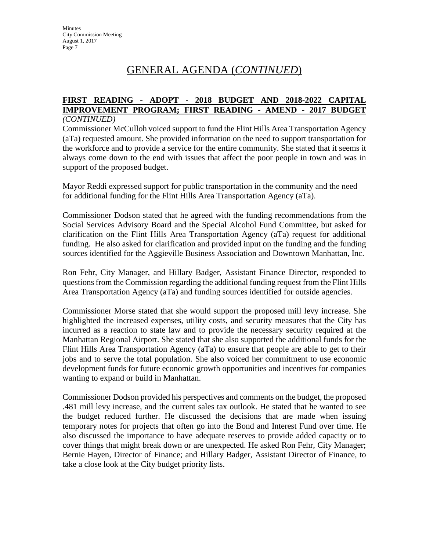#### **FIRST READING - ADOPT - 2018 BUDGET AND 2018-2022 CAPITAL IMPROVEMENT PROGRAM; FIRST READING - AMEND - 2017 BUDGET** *(CONTINUED)*

Commissioner McCulloh voiced support to fund the Flint Hills Area Transportation Agency (aTa) requested amount. She provided information on the need to support transportation for the workforce and to provide a service for the entire community. She stated that it seems it always come down to the end with issues that affect the poor people in town and was in support of the proposed budget.

Mayor Reddi expressed support for public transportation in the community and the need for additional funding for the Flint Hills Area Transportation Agency (aTa).

Commissioner Dodson stated that he agreed with the funding recommendations from the Social Services Advisory Board and the Special Alcohol Fund Committee, but asked for clarification on the Flint Hills Area Transportation Agency (aTa) request for additional funding. He also asked for clarification and provided input on the funding and the funding sources identified for the Aggieville Business Association and Downtown Manhattan, Inc.

Ron Fehr, City Manager, and Hillary Badger, Assistant Finance Director, responded to questions from the Commission regarding the additional funding request from the Flint Hills Area Transportation Agency (aTa) and funding sources identified for outside agencies.

Commissioner Morse stated that she would support the proposed mill levy increase. She highlighted the increased expenses, utility costs, and security measures that the City has incurred as a reaction to state law and to provide the necessary security required at the Manhattan Regional Airport. She stated that she also supported the additional funds for the Flint Hills Area Transportation Agency (aTa) to ensure that people are able to get to their jobs and to serve the total population. She also voiced her commitment to use economic development funds for future economic growth opportunities and incentives for companies wanting to expand or build in Manhattan.

Commissioner Dodson provided his perspectives and comments on the budget, the proposed .481 mill levy increase, and the current sales tax outlook. He stated that he wanted to see the budget reduced further. He discussed the decisions that are made when issuing temporary notes for projects that often go into the Bond and Interest Fund over time. He also discussed the importance to have adequate reserves to provide added capacity or to cover things that might break down or are unexpected. He asked Ron Fehr, City Manager; Bernie Hayen, Director of Finance; and Hillary Badger, Assistant Director of Finance, to take a close look at the City budget priority lists.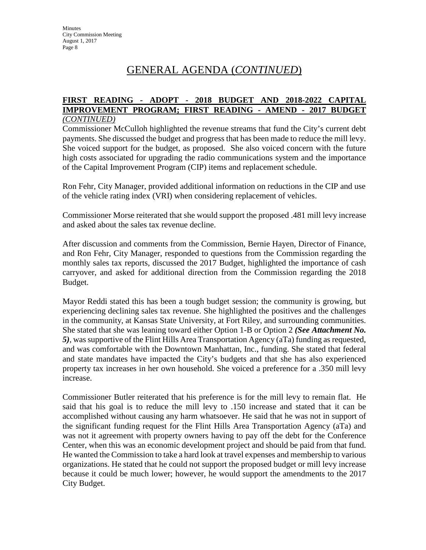#### **FIRST READING - ADOPT - 2018 BUDGET AND 2018-2022 CAPITAL IMPROVEMENT PROGRAM; FIRST READING - AMEND - 2017 BUDGET** *(CONTINUED)*

Commissioner McCulloh highlighted the revenue streams that fund the City's current debt payments. She discussed the budget and progress that has been made to reduce the mill levy. She voiced support for the budget, as proposed. She also voiced concern with the future high costs associated for upgrading the radio communications system and the importance of the Capital Improvement Program (CIP) items and replacement schedule.

Ron Fehr, City Manager, provided additional information on reductions in the CIP and use of the vehicle rating index (VRI) when considering replacement of vehicles.

Commissioner Morse reiterated that she would support the proposed .481 mill levy increase and asked about the sales tax revenue decline.

After discussion and comments from the Commission, Bernie Hayen, Director of Finance, and Ron Fehr, City Manager, responded to questions from the Commission regarding the monthly sales tax reports, discussed the 2017 Budget, highlighted the importance of cash carryover, and asked for additional direction from the Commission regarding the 2018 Budget.

Mayor Reddi stated this has been a tough budget session; the community is growing, but experiencing declining sales tax revenue. She highlighted the positives and the challenges in the community, at Kansas State University, at Fort Riley, and surrounding communities. She stated that she was leaning toward either Option 1-B or Option 2 *(See Attachment No. 5)*, was supportive of the Flint Hills Area Transportation Agency (aTa) funding as requested, and was comfortable with the Downtown Manhattan, Inc., funding. She stated that federal and state mandates have impacted the City's budgets and that she has also experienced property tax increases in her own household. She voiced a preference for a .350 mill levy increase.

Commissioner Butler reiterated that his preference is for the mill levy to remain flat. He said that his goal is to reduce the mill levy to .150 increase and stated that it can be accomplished without causing any harm whatsoever. He said that he was not in support of the significant funding request for the Flint Hills Area Transportation Agency (aTa) and was not it agreement with property owners having to pay off the debt for the Conference Center, when this was an economic development project and should be paid from that fund. He wanted the Commission to take a hard look at travel expenses and membership to various organizations. He stated that he could not support the proposed budget or mill levy increase because it could be much lower; however, he would support the amendments to the 2017 City Budget.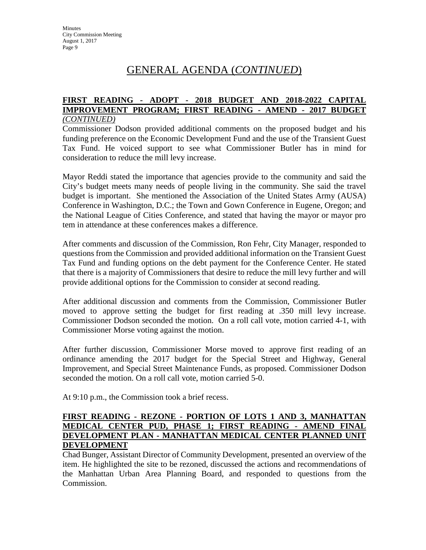#### **FIRST READING - ADOPT - 2018 BUDGET AND 2018-2022 CAPITAL IMPROVEMENT PROGRAM; FIRST READING - AMEND - 2017 BUDGET** *(CONTINUED)*

Commissioner Dodson provided additional comments on the proposed budget and his funding preference on the Economic Development Fund and the use of the Transient Guest Tax Fund. He voiced support to see what Commissioner Butler has in mind for consideration to reduce the mill levy increase.

Mayor Reddi stated the importance that agencies provide to the community and said the City's budget meets many needs of people living in the community. She said the travel budget is important. She mentioned the Association of the United States Army (AUSA) Conference in Washington, D.C.; the Town and Gown Conference in Eugene, Oregon; and the National League of Cities Conference, and stated that having the mayor or mayor pro tem in attendance at these conferences makes a difference.

After comments and discussion of the Commission, Ron Fehr, City Manager, responded to questions from the Commission and provided additional information on the Transient Guest Tax Fund and funding options on the debt payment for the Conference Center. He stated that there is a majority of Commissioners that desire to reduce the mill levy further and will provide additional options for the Commission to consider at second reading.

After additional discussion and comments from the Commission, Commissioner Butler moved to approve setting the budget for first reading at .350 mill levy increase. Commissioner Dodson seconded the motion. On a roll call vote, motion carried 4-1, with Commissioner Morse voting against the motion.

After further discussion, Commissioner Morse moved to approve first reading of an ordinance amending the 2017 budget for the Special Street and Highway, General Improvement, and Special Street Maintenance Funds, as proposed. Commissioner Dodson seconded the motion. On a roll call vote, motion carried 5-0.

At 9:10 p.m., the Commission took a brief recess.

#### **FIRST READING - REZONE - PORTION OF LOTS 1 AND 3, MANHATTAN MEDICAL CENTER PUD, PHASE 1; FIRST READING - AMEND FINAL DEVELOPMENT PLAN - MANHATTAN MEDICAL CENTER PLANNED UNIT DEVELOPMENT**

Chad Bunger, Assistant Director of Community Development, presented an overview of the item. He highlighted the site to be rezoned, discussed the actions and recommendations of the Manhattan Urban Area Planning Board, and responded to questions from the Commission.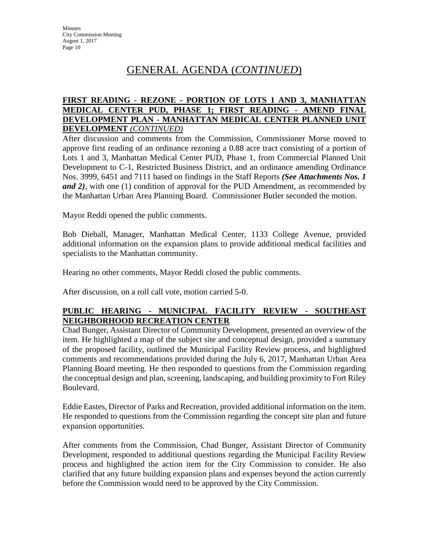#### **FIRST READING - REZONE - PORTION OF LOTS 1 AND 3, MANHATTAN MEDICAL CENTER PUD, PHASE 1; FIRST READING - AMEND FINAL DEVELOPMENT PLAN - MANHATTAN MEDICAL CENTER PLANNED UNIT DEVELOPMENT** *(CONTINUED)*

After discussion and comments from the Commission, Commissioner Morse moved to approve first reading of an ordinance rezoning a 0.88 acre tract consisting of a portion of Lots 1 and 3, Manhattan Medical Center PUD, Phase 1, from Commercial Planned Unit Development to C-1, Restricted Business District, and an ordinance amending Ordinance Nos. 3999, 6451 and 7111 based on findings in the Staff Reports *(See Attachments Nos. 1 and 2)*, with one (1) condition of approval for the PUD Amendment, as recommended by the Manhattan Urban Area Planning Board. Commissioner Butler seconded the motion.

Mayor Reddi opened the public comments.

Bob Dieball, Manager, Manhattan Medical Center, 1133 College Avenue, provided additional information on the expansion plans to provide additional medical facilities and specialists to the Manhattan community.

Hearing no other comments, Mayor Reddi closed the public comments.

After discussion, on a roll call vote, motion carried 5-0.

## **PUBLIC HEARING - MUNICIPAL FACILITY REVIEW - SOUTHEAST NEIGHBORHOOD RECREATION CENTER**

Chad Bunger, Assistant Director of Community Development, presented an overview of the item. He highlighted a map of the subject site and conceptual design, provided a summary of the proposed facility, outlined the Municipal Facility Review process, and highlighted comments and recommendations provided during the July 6, 2017, Manhattan Urban Area Planning Board meeting. He then responded to questions from the Commission regarding the conceptual design and plan, screening, landscaping, and building proximity to Fort Riley Boulevard.

Eddie Eastes, Director of Parks and Recreation, provided additional information on the item. He responded to questions from the Commission regarding the concept site plan and future expansion opportunities.

After comments from the Commission, Chad Bunger, Assistant Director of Community Development, responded to additional questions regarding the Municipal Facility Review process and highlighted the action item for the City Commission to consider. He also clarified that any future building expansion plans and expenses beyond the action currently before the Commission would need to be approved by the City Commission.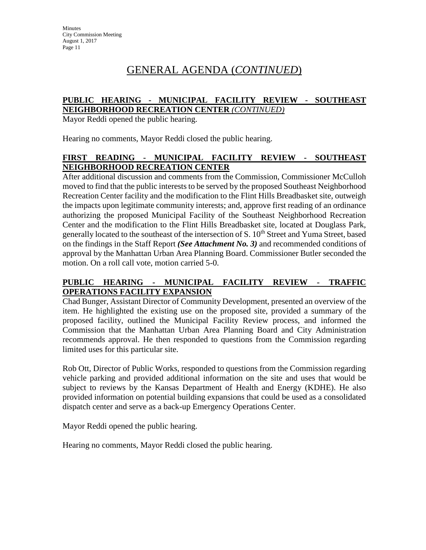#### **PUBLIC HEARING - MUNICIPAL FACILITY REVIEW - SOUTHEAST NEIGHBORHOOD RECREATION CENTER** *(CONTINUED)*

Mayor Reddi opened the public hearing.

Hearing no comments, Mayor Reddi closed the public hearing.

## **FIRST READING - MUNICIPAL FACILITY REVIEW - SOUTHEAST NEIGHBORHOOD RECREATION CENTER**

After additional discussion and comments from the Commission, Commissioner McCulloh moved to find that the public interests to be served by the proposed Southeast Neighborhood Recreation Center facility and the modification to the Flint Hills Breadbasket site, outweigh the impacts upon legitimate community interests; and, approve first reading of an ordinance authorizing the proposed Municipal Facility of the Southeast Neighborhood Recreation Center and the modification to the Flint Hills Breadbasket site, located at Douglass Park, generally located to the southeast of the intersection of S. 10<sup>th</sup> Street and Yuma Street, based on the findings in the Staff Report *(See Attachment No. 3)* and recommended conditions of approval by the Manhattan Urban Area Planning Board. Commissioner Butler seconded the motion. On a roll call vote, motion carried 5-0.

## **PUBLIC HEARING - MUNICIPAL FACILITY REVIEW - TRAFFIC OPERATIONS FACILITY EXPANSION**

Chad Bunger, Assistant Director of Community Development, presented an overview of the item. He highlighted the existing use on the proposed site, provided a summary of the proposed facility, outlined the Municipal Facility Review process, and informed the Commission that the Manhattan Urban Area Planning Board and City Administration recommends approval. He then responded to questions from the Commission regarding limited uses for this particular site.

Rob Ott, Director of Public Works, responded to questions from the Commission regarding vehicle parking and provided additional information on the site and uses that would be subject to reviews by the Kansas Department of Health and Energy (KDHE). He also provided information on potential building expansions that could be used as a consolidated dispatch center and serve as a back-up Emergency Operations Center.

Mayor Reddi opened the public hearing.

Hearing no comments, Mayor Reddi closed the public hearing.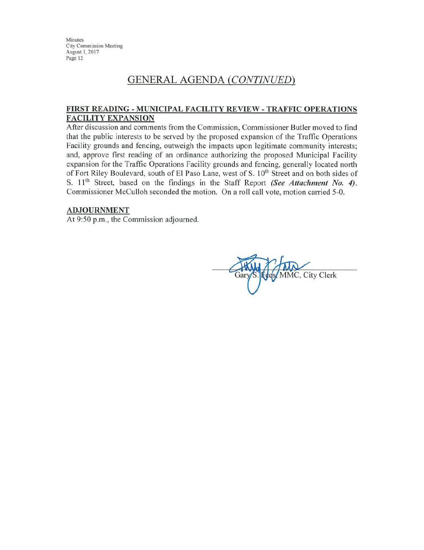## **GENERAL AGENDA (CONTINUED)**

#### FIRST READING - MUNICIPAL FACILITY REVIEW - TRAFFIC OPERATIONS **FACILITY EXPANSION**

After discussion and comments from the Commission, Commissioner Butler moved to find that the public interests to be served by the proposed expansion of the Traffic Operations Facility grounds and fencing, outweigh the impacts upon legitimate community interests; and, approve first reading of an ordinance authorizing the proposed Municipal Facility expansion for the Traffic Operations Facility grounds and fencing, generally located north of Fort Riley Boulevard, south of El Paso Lane, west of S. 10<sup>th</sup> Street and on both sides of S. 11<sup>th</sup> Street, based on the findings in the Staff Report (See Attachment No. 4). Commissioner McCulloh seconded the motion. On a roll call vote, motion carried 5-0.

#### **ADJOURNMENT**

At 9:50 p.m., the Commission adjourned.

MMC, City Clerk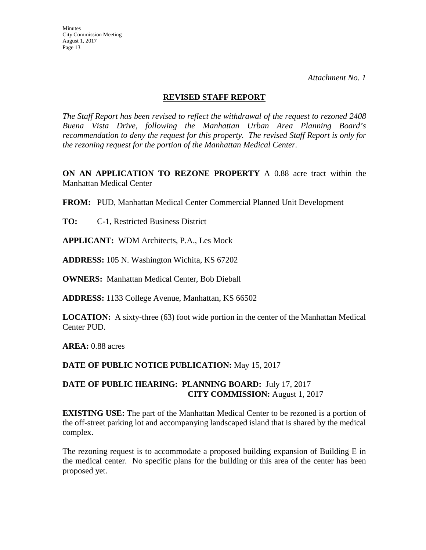*Attachment No. 1* 

#### **REVISED STAFF REPORT**

*The Staff Report has been revised to reflect the withdrawal of the request to rezoned 2408 Buena Vista Drive, following the Manhattan Urban Area Planning Board's recommendation to deny the request for this property. The revised Staff Report is only for the rezoning request for the portion of the Manhattan Medical Center.* 

**ON AN APPLICATION TO REZONE PROPERTY** A 0.88 acre tract within the Manhattan Medical Center

**FROM:** PUD, Manhattan Medical Center Commercial Planned Unit Development

**TO:** C-1, Restricted Business District

**APPLICANT:** WDM Architects, P.A., Les Mock

**ADDRESS:** 105 N. Washington Wichita, KS 67202

**OWNERS:** Manhattan Medical Center, Bob Dieball

**ADDRESS:** 1133 College Avenue, Manhattan, KS 66502

**LOCATION:** A sixty-three (63) foot wide portion in the center of the Manhattan Medical Center PUD.

**AREA:** 0.88 acres

**DATE OF PUBLIC NOTICE PUBLICATION:** May 15, 2017

## **DATE OF PUBLIC HEARING: PLANNING BOARD:** July 17, 2017 **CITY COMMISSION:** August 1, 2017

**EXISTING USE:** The part of the Manhattan Medical Center to be rezoned is a portion of the off-street parking lot and accompanying landscaped island that is shared by the medical complex.

The rezoning request is to accommodate a proposed building expansion of Building E in the medical center. No specific plans for the building or this area of the center has been proposed yet.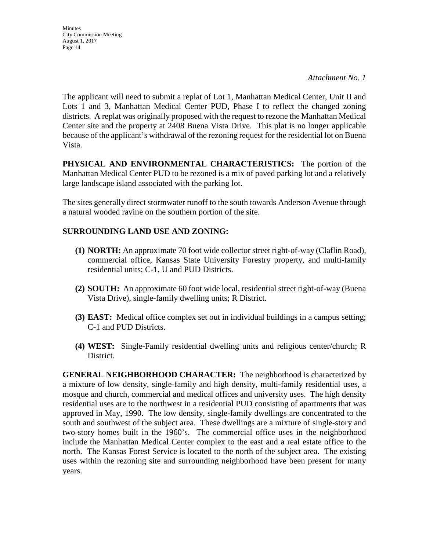*Attachment No. 1* 

The applicant will need to submit a replat of Lot 1, Manhattan Medical Center, Unit II and Lots 1 and 3, Manhattan Medical Center PUD, Phase I to reflect the changed zoning districts. A replat was originally proposed with the request to rezone the Manhattan Medical Center site and the property at 2408 Buena Vista Drive. This plat is no longer applicable because of the applicant's withdrawal of the rezoning request for the residential lot on Buena Vista.

**PHYSICAL AND ENVIRONMENTAL CHARACTERISTICS:** The portion of the Manhattan Medical Center PUD to be rezoned is a mix of paved parking lot and a relatively large landscape island associated with the parking lot.

The sites generally direct stormwater runoff to the south towards Anderson Avenue through a natural wooded ravine on the southern portion of the site.

## **SURROUNDING LAND USE AND ZONING:**

- **(1) NORTH:** An approximate 70 foot wide collector street right-of-way (Claflin Road), commercial office, Kansas State University Forestry property, and multi-family residential units; C-1, U and PUD Districts.
- **(2) SOUTH:** An approximate 60 foot wide local, residential street right-of-way (Buena Vista Drive), single-family dwelling units; R District.
- **(3) EAST:** Medical office complex set out in individual buildings in a campus setting; C-1 and PUD Districts.
- **(4) WEST:** Single-Family residential dwelling units and religious center/church; R District.

**GENERAL NEIGHBORHOOD CHARACTER:** The neighborhood is characterized by a mixture of low density, single-family and high density, multi-family residential uses, a mosque and church, commercial and medical offices and university uses. The high density residential uses are to the northwest in a residential PUD consisting of apartments that was approved in May, 1990. The low density, single-family dwellings are concentrated to the south and southwest of the subject area. These dwellings are a mixture of single-story and two-story homes built in the 1960's. The commercial office uses in the neighborhood include the Manhattan Medical Center complex to the east and a real estate office to the north. The Kansas Forest Service is located to the north of the subject area. The existing uses within the rezoning site and surrounding neighborhood have been present for many years.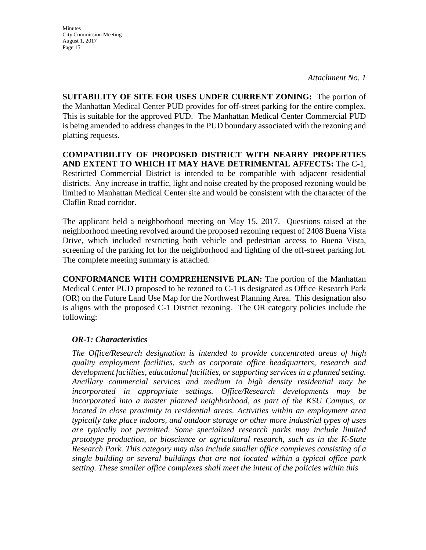*Attachment No. 1* 

**SUITABILITY OF SITE FOR USES UNDER CURRENT ZONING:** The portion of the Manhattan Medical Center PUD provides for off-street parking for the entire complex. This is suitable for the approved PUD. The Manhattan Medical Center Commercial PUD is being amended to address changes in the PUD boundary associated with the rezoning and platting requests.

**COMPATIBILITY OF PROPOSED DISTRICT WITH NEARBY PROPERTIES AND EXTENT TO WHICH IT MAY HAVE DETRIMENTAL AFFECTS:** The C-1, Restricted Commercial District is intended to be compatible with adjacent residential districts. Any increase in traffic, light and noise created by the proposed rezoning would be limited to Manhattan Medical Center site and would be consistent with the character of the Claflin Road corridor.

The applicant held a neighborhood meeting on May 15, 2017. Questions raised at the neighborhood meeting revolved around the proposed rezoning request of 2408 Buena Vista Drive, which included restricting both vehicle and pedestrian access to Buena Vista, screening of the parking lot for the neighborhood and lighting of the off-street parking lot. The complete meeting summary is attached.

**CONFORMANCE WITH COMPREHENSIVE PLAN:** The portion of the Manhattan Medical Center PUD proposed to be rezoned to C-1 is designated as Office Research Park (OR) on the Future Land Use Map for the Northwest Planning Area. This designation also is aligns with the proposed C-1 District rezoning. The OR category policies include the following:

### *OR-1: Characteristics*

*The Office/Research designation is intended to provide concentrated areas of high quality employment facilities, such as corporate office headquarters, research and development facilities, educational facilities, or supporting services in a planned setting. Ancillary commercial services and medium to high density residential may be incorporated in appropriate settings. Office/Research developments may be*  incorporated into a master planned neighborhood, as part of the KSU Campus, or *located in close proximity to residential areas. Activities within an employment area typically take place indoors, and outdoor storage or other more industrial types of uses are typically not permitted. Some specialized research parks may include limited prototype production, or bioscience or agricultural research, such as in the K-State Research Park. This category may also include smaller office complexes consisting of a single building or several buildings that are not located within a typical office park setting. These smaller office complexes shall meet the intent of the policies within this*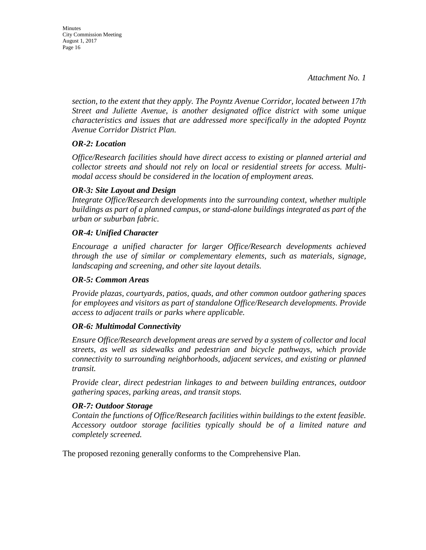**Minutes** City Commission Meeting August 1, 2017 Page 16

> *section, to the extent that they apply. The Poyntz Avenue Corridor, located between 17th Street and Juliette Avenue, is another designated office district with some unique characteristics and issues that are addressed more specifically in the adopted Poyntz Avenue Corridor District Plan.*

#### *OR-2: Location*

*Office/Research facilities should have direct access to existing or planned arterial and collector streets and should not rely on local or residential streets for access. Multimodal access should be considered in the location of employment areas.* 

#### *OR-3: Site Layout and Design*

*Integrate Office/Research developments into the surrounding context, whether multiple buildings as part of a planned campus, or stand-alone buildings integrated as part of the urban or suburban fabric.* 

#### *OR-4: Unified Character*

*Encourage a unified character for larger Office/Research developments achieved through the use of similar or complementary elements, such as materials, signage, landscaping and screening, and other site layout details.* 

#### *OR-5: Common Areas*

*Provide plazas, courtyards, patios, quads, and other common outdoor gathering spaces for employees and visitors as part of standalone Office/Research developments. Provide access to adjacent trails or parks where applicable.* 

#### *OR-6: Multimodal Connectivity*

*Ensure Office/Research development areas are served by a system of collector and local streets, as well as sidewalks and pedestrian and bicycle pathways, which provide connectivity to surrounding neighborhoods, adjacent services, and existing or planned transit.* 

*Provide clear, direct pedestrian linkages to and between building entrances, outdoor gathering spaces, parking areas, and transit stops.* 

#### *OR-7: Outdoor Storage*

*Contain the functions of Office/Research facilities within buildings to the extent feasible. Accessory outdoor storage facilities typically should be of a limited nature and completely screened.*

The proposed rezoning generally conforms to the Comprehensive Plan.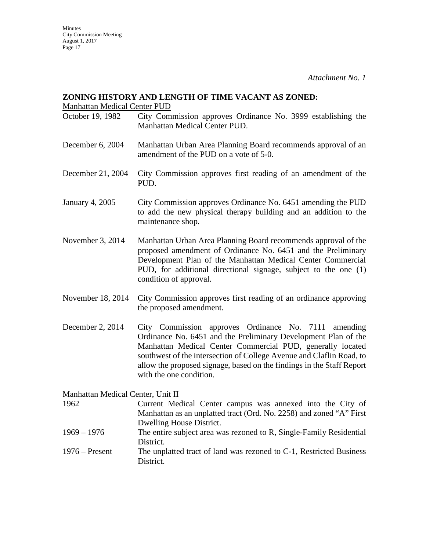#### **ZONING HISTORY AND LENGTH OF TIME VACANT AS ZONED:**

Manhattan Medical Center PUD

- October 19, 1982 City Commission approves Ordinance No. 3999 establishing the Manhattan Medical Center PUD.
- December 6, 2004 Manhattan Urban Area Planning Board recommends approval of an amendment of the PUD on a vote of 5-0.
- December 21, 2004 City Commission approves first reading of an amendment of the PUD.
- January 4, 2005 City Commission approves Ordinance No. 6451 amending the PUD to add the new physical therapy building and an addition to the maintenance shop.
- November 3, 2014 Manhattan Urban Area Planning Board recommends approval of the proposed amendment of Ordinance No. 6451 and the Preliminary Development Plan of the Manhattan Medical Center Commercial PUD, for additional directional signage, subject to the one (1) condition of approval.
- November 18, 2014 City Commission approves first reading of an ordinance approving the proposed amendment.
- December 2, 2014 City Commission approves Ordinance No. 7111 amending Ordinance No. 6451 and the Preliminary Development Plan of the Manhattan Medical Center Commercial PUD, generally located southwest of the intersection of College Avenue and Claflin Road, to allow the proposed signage, based on the findings in the Staff Report with the one condition.

Manhattan Medical Center, Unit II

- 1962 Current Medical Center campus was annexed into the City of Manhattan as an unplatted tract (Ord. No. 2258) and zoned "A" First Dwelling House District. 1969 – 1976 The entire subject area was rezoned to R, Single-Family Residential District. 1976 – Present The unplatted tract of land was rezoned to C-1, Restricted Business
- District.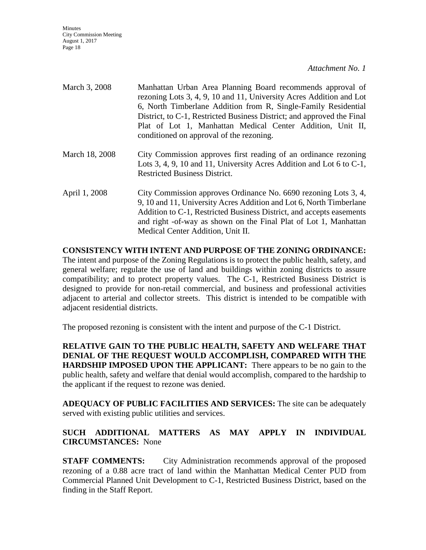*Attachment No. 1* 

| March 3, 2008  | Manhattan Urban Area Planning Board recommends approval of<br>rezoning Lots 3, 4, 9, 10 and 11, University Acres Addition and Lot<br>6, North Timberlane Addition from R, Single-Family Residential<br>District, to C-1, Restricted Business District; and approved the Final<br>Plat of Lot 1, Manhattan Medical Center Addition, Unit II,<br>conditioned on approval of the rezoning. |
|----------------|-----------------------------------------------------------------------------------------------------------------------------------------------------------------------------------------------------------------------------------------------------------------------------------------------------------------------------------------------------------------------------------------|
| March 18, 2008 | City Commission approves first reading of an ordinance rezoning<br>Lots 3, 4, 9, 10 and 11, University Acres Addition and Lot 6 to $C-1$ ,<br><b>Restricted Business District.</b>                                                                                                                                                                                                      |
| April 1, 2008  | City Commission approves Ordinance No. 6690 rezoning Lots 3, 4,<br>9, 10 and 11, University Acres Addition and Lot 6, North Timberlane<br>Addition to C-1, Restricted Business District, and accepts easements<br>and right -of-way as shown on the Final Plat of Lot 1, Manhattan<br>Medical Center Addition, Unit II.                                                                 |

**CONSISTENCY WITH INTENT AND PURPOSE OF THE ZONING ORDINANCE:** The intent and purpose of the Zoning Regulations is to protect the public health, safety, and general welfare; regulate the use of land and buildings within zoning districts to assure compatibility; and to protect property values. The C-1, Restricted Business District is designed to provide for non-retail commercial, and business and professional activities adjacent to arterial and collector streets. This district is intended to be compatible with adjacent residential districts.

The proposed rezoning is consistent with the intent and purpose of the C-1 District.

**RELATIVE GAIN TO THE PUBLIC HEALTH, SAFETY AND WELFARE THAT DENIAL OF THE REQUEST WOULD ACCOMPLISH, COMPARED WITH THE HARDSHIP IMPOSED UPON THE APPLICANT:** There appears to be no gain to the public health, safety and welfare that denial would accomplish, compared to the hardship to the applicant if the request to rezone was denied.

**ADEQUACY OF PUBLIC FACILITIES AND SERVICES:** The site can be adequately served with existing public utilities and services.

## **SUCH ADDITIONAL MATTERS AS MAY APPLY IN INDIVIDUAL CIRCUMSTANCES:** None

**STAFF COMMENTS:** City Administration recommends approval of the proposed rezoning of a 0.88 acre tract of land within the Manhattan Medical Center PUD from Commercial Planned Unit Development to C-1, Restricted Business District, based on the finding in the Staff Report.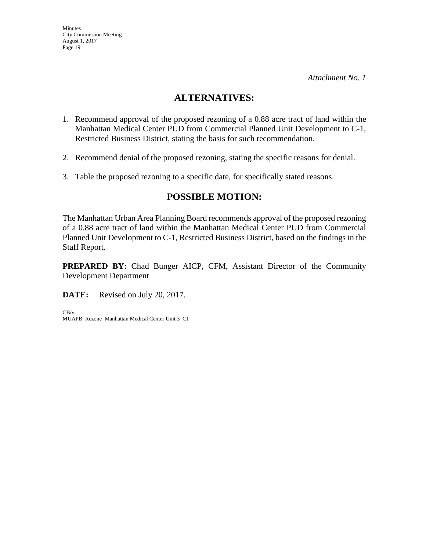## **ALTERNATIVES:**

- 1. Recommend approval of the proposed rezoning of a 0.88 acre tract of land within the Manhattan Medical Center PUD from Commercial Planned Unit Development to C-1, Restricted Business District, stating the basis for such recommendation.
- 2. Recommend denial of the proposed rezoning, stating the specific reasons for denial.
- 3. Table the proposed rezoning to a specific date, for specifically stated reasons.

## **POSSIBLE MOTION:**

The Manhattan Urban Area Planning Board recommends approval of the proposed rezoning of a 0.88 acre tract of land within the Manhattan Medical Center PUD from Commercial Planned Unit Development to C-1, Restricted Business District, based on the findings in the Staff Report.

**PREPARED BY:** Chad Bunger AICP, CFM, Assistant Director of the Community Development Department

**DATE:** Revised on July 20, 2017.

CB/vr MUAPB\_Rezone\_Manhattan Medical Center Unit 3\_C1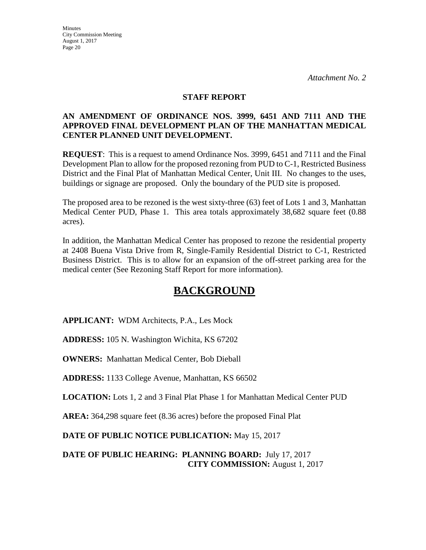#### **STAFF REPORT**

### **AN AMENDMENT OF ORDINANCE NOS. 3999, 6451 AND 7111 AND THE APPROVED FINAL DEVELOPMENT PLAN OF THE MANHATTAN MEDICAL CENTER PLANNED UNIT DEVELOPMENT.**

**REQUEST**: This is a request to amend Ordinance Nos. 3999, 6451 and 7111 and the Final Development Plan to allow for the proposed rezoning from PUD to C-1, Restricted Business District and the Final Plat of Manhattan Medical Center, Unit III. No changes to the uses, buildings or signage are proposed. Only the boundary of the PUD site is proposed.

The proposed area to be rezoned is the west sixty-three (63) feet of Lots 1 and 3, Manhattan Medical Center PUD, Phase 1. This area totals approximately 38,682 square feet (0.88 acres).

In addition, the Manhattan Medical Center has proposed to rezone the residential property at 2408 Buena Vista Drive from R, Single-Family Residential District to C-1, Restricted Business District. This is to allow for an expansion of the off-street parking area for the medical center (See Rezoning Staff Report for more information).

# **BACKGROUND**

**APPLICANT:** WDM Architects, P.A., Les Mock

**ADDRESS:** 105 N. Washington Wichita, KS 67202

**OWNERS:** Manhattan Medical Center, Bob Dieball

**ADDRESS:** 1133 College Avenue, Manhattan, KS 66502

**LOCATION:** Lots 1, 2 and 3 Final Plat Phase 1 for Manhattan Medical Center PUD

**AREA:** 364,298 square feet (8.36 acres) before the proposed Final Plat

**DATE OF PUBLIC NOTICE PUBLICATION:** May 15, 2017

**DATE OF PUBLIC HEARING: PLANNING BOARD:** July 17, 2017 **CITY COMMISSION:** August 1, 2017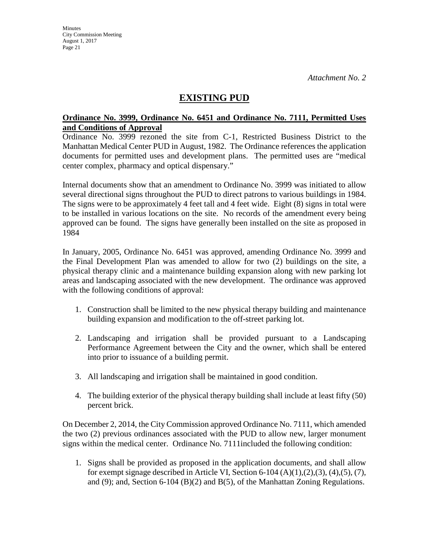## **EXISTING PUD**

#### **Ordinance No. 3999, Ordinance No. 6451 and Ordinance No. 7111, Permitted Uses and Conditions of Approval**

Ordinance No. 3999 rezoned the site from C-1, Restricted Business District to the Manhattan Medical Center PUD in August, 1982. The Ordinance references the application documents for permitted uses and development plans. The permitted uses are "medical center complex, pharmacy and optical dispensary."

Internal documents show that an amendment to Ordinance No. 3999 was initiated to allow several directional signs throughout the PUD to direct patrons to various buildings in 1984. The signs were to be approximately 4 feet tall and 4 feet wide. Eight (8) signs in total were to be installed in various locations on the site. No records of the amendment every being approved can be found. The signs have generally been installed on the site as proposed in 1984

In January, 2005, Ordinance No. 6451 was approved, amending Ordinance No. 3999 and the Final Development Plan was amended to allow for two (2) buildings on the site, a physical therapy clinic and a maintenance building expansion along with new parking lot areas and landscaping associated with the new development. The ordinance was approved with the following conditions of approval:

- 1. Construction shall be limited to the new physical therapy building and maintenance building expansion and modification to the off-street parking lot.
- 2. Landscaping and irrigation shall be provided pursuant to a Landscaping Performance Agreement between the City and the owner, which shall be entered into prior to issuance of a building permit.
- 3. All landscaping and irrigation shall be maintained in good condition.
- 4. The building exterior of the physical therapy building shall include at least fifty (50) percent brick.

On December 2, 2014, the City Commission approved Ordinance No. 7111, which amended the two (2) previous ordinances associated with the PUD to allow new, larger monument signs within the medical center. Ordinance No. 7111included the following condition:

1. Signs shall be provided as proposed in the application documents, and shall allow for exempt signage described in Article VI, Section 6-104  $(A)(1),(2),(3),(4),(5),(7)$ , and (9); and, Section 6-104 (B)(2) and B(5), of the Manhattan Zoning Regulations.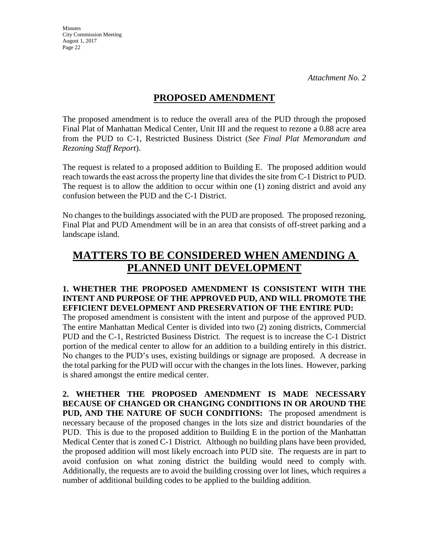## **PROPOSED AMENDMENT**

The proposed amendment is to reduce the overall area of the PUD through the proposed Final Plat of Manhattan Medical Center, Unit III and the request to rezone a 0.88 acre area from the PUD to C-1, Restricted Business District (*See Final Plat Memorandum and Rezoning Staff Report*).

The request is related to a proposed addition to Building E. The proposed addition would reach towards the east across the property line that divides the site from C-1 District to PUD. The request is to allow the addition to occur within one (1) zoning district and avoid any confusion between the PUD and the C-1 District.

No changes to the buildings associated with the PUD are proposed. The proposed rezoning, Final Plat and PUD Amendment will be in an area that consists of off-street parking and a landscape island.

# **MATTERS TO BE CONSIDERED WHEN AMENDING A PLANNED UNIT DEVELOPMENT**

#### **1. WHETHER THE PROPOSED AMENDMENT IS CONSISTENT WITH THE INTENT AND PURPOSE OF THE APPROVED PUD, AND WILL PROMOTE THE EFFICIENT DEVELOPMENT AND PRESERVATION OF THE ENTIRE PUD:**

The proposed amendment is consistent with the intent and purpose of the approved PUD. The entire Manhattan Medical Center is divided into two (2) zoning districts, Commercial PUD and the C-1, Restricted Business District. The request is to increase the C-1 District portion of the medical center to allow for an addition to a building entirely in this district. No changes to the PUD's uses, existing buildings or signage are proposed. A decrease in the total parking for the PUD will occur with the changes in the lots lines. However, parking is shared amongst the entire medical center.

**2. WHETHER THE PROPOSED AMENDMENT IS MADE NECESSARY BECAUSE OF CHANGED OR CHANGING CONDITIONS IN OR AROUND THE PUD, AND THE NATURE OF SUCH CONDITIONS:** The proposed amendment is necessary because of the proposed changes in the lots size and district boundaries of the PUD. This is due to the proposed addition to Building E in the portion of the Manhattan Medical Center that is zoned C-1 District. Although no building plans have been provided, the proposed addition will most likely encroach into PUD site. The requests are in part to avoid confusion on what zoning district the building would need to comply with. Additionally, the requests are to avoid the building crossing over lot lines, which requires a number of additional building codes to be applied to the building addition.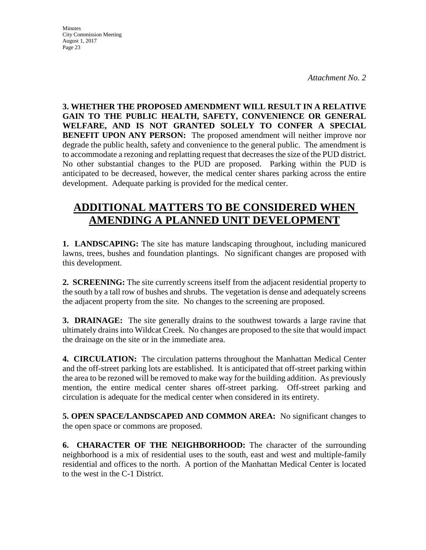**Minutes** City Commission Meeting August 1, 2017 Page 23

**3. WHETHER THE PROPOSED AMENDMENT WILL RESULT IN A RELATIVE GAIN TO THE PUBLIC HEALTH, SAFETY, CONVENIENCE OR GENERAL WELFARE, AND IS NOT GRANTED SOLELY TO CONFER A SPECIAL BENEFIT UPON ANY PERSON:** The proposed amendment will neither improve nor degrade the public health, safety and convenience to the general public. The amendment is to accommodate a rezoning and replatting request that decreases the size of the PUD district. No other substantial changes to the PUD are proposed. Parking within the PUD is anticipated to be decreased, however, the medical center shares parking across the entire development. Adequate parking is provided for the medical center.

# **ADDITIONAL MATTERS TO BE CONSIDERED WHEN AMENDING A PLANNED UNIT DEVELOPMENT**

**1. LANDSCAPING:** The site has mature landscaping throughout, including manicured lawns, trees, bushes and foundation plantings. No significant changes are proposed with this development.

**2. SCREENING:** The site currently screens itself from the adjacent residential property to the south by a tall row of bushes and shrubs. The vegetation is dense and adequately screens the adjacent property from the site. No changes to the screening are proposed.

**3. DRAINAGE:** The site generally drains to the southwest towards a large ravine that ultimately drains into Wildcat Creek. No changes are proposed to the site that would impact the drainage on the site or in the immediate area.

**4. CIRCULATION:** The circulation patterns throughout the Manhattan Medical Center and the off-street parking lots are established. It is anticipated that off-street parking within the area to be rezoned will be removed to make way for the building addition. As previously mention, the entire medical center shares off-street parking. Off-street parking and circulation is adequate for the medical center when considered in its entirety.

**5. OPEN SPACE/LANDSCAPED AND COMMON AREA:** No significant changes to the open space or commons are proposed.

**6. CHARACTER OF THE NEIGHBORHOOD:** The character of the surrounding neighborhood is a mix of residential uses to the south, east and west and multiple-family residential and offices to the north. A portion of the Manhattan Medical Center is located to the west in the C-1 District.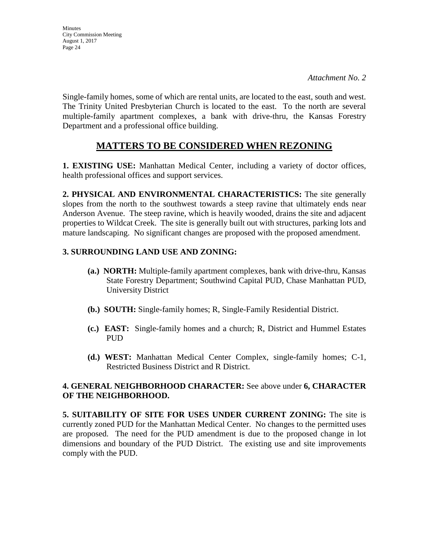**Minutes** City Commission Meeting August 1, 2017 Page 24

Single-family homes, some of which are rental units, are located to the east, south and west. The Trinity United Presbyterian Church is located to the east. To the north are several multiple-family apartment complexes, a bank with drive-thru, the Kansas Forestry Department and a professional office building.

## **MATTERS TO BE CONSIDERED WHEN REZONING**

**1. EXISTING USE:** Manhattan Medical Center, including a variety of doctor offices, health professional offices and support services.

**2. PHYSICAL AND ENVIRONMENTAL CHARACTERISTICS:** The site generally slopes from the north to the southwest towards a steep ravine that ultimately ends near Anderson Avenue. The steep ravine, which is heavily wooded, drains the site and adjacent properties to Wildcat Creek. The site is generally built out with structures, parking lots and mature landscaping. No significant changes are proposed with the proposed amendment.

## **3. SURROUNDING LAND USE AND ZONING:**

- **(a.) NORTH:** Multiple-family apartment complexes, bank with drive-thru, Kansas State Forestry Department; Southwind Capital PUD, Chase Manhattan PUD, University District
- **(b.) SOUTH:** Single-family homes; R, Single-Family Residential District.
- **(c.) EAST:** Single-family homes and a church; R, District and Hummel Estates PUD
- **(d.) WEST:** Manhattan Medical Center Complex, single-family homes; C-1, Restricted Business District and R District.

### **4. GENERAL NEIGHBORHOOD CHARACTER:** See above under **6, CHARACTER OF THE NEIGHBORHOOD.**

**5. SUITABILITY OF SITE FOR USES UNDER CURRENT ZONING:** The site is currently zoned PUD for the Manhattan Medical Center. No changes to the permitted uses are proposed. The need for the PUD amendment is due to the proposed change in lot dimensions and boundary of the PUD District. The existing use and site improvements comply with the PUD.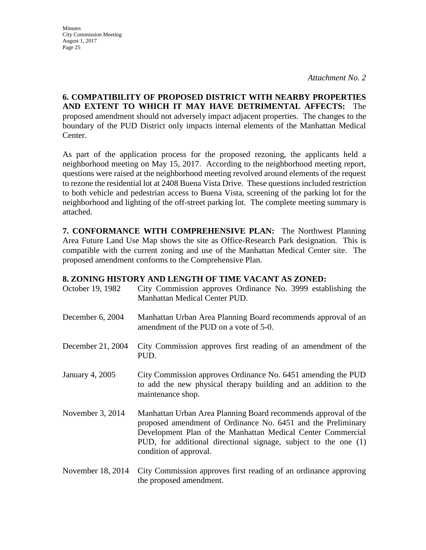**Minutes** City Commission Meeting August 1, 2017 Page 25

**6. COMPATIBILITY OF PROPOSED DISTRICT WITH NEARBY PROPERTIES AND EXTENT TO WHICH IT MAY HAVE DETRIMENTAL AFFECTS:** The proposed amendment should not adversely impact adjacent properties. The changes to the boundary of the PUD District only impacts internal elements of the Manhattan Medical Center.

As part of the application process for the proposed rezoning, the applicants held a neighborhood meeting on May 15, 2017. According to the neighborhood meeting report, questions were raised at the neighborhood meeting revolved around elements of the request to rezone the residential lot at 2408 Buena Vista Drive. These questions included restriction to both vehicle and pedestrian access to Buena Vista, screening of the parking lot for the neighborhood and lighting of the off-street parking lot. The complete meeting summary is attached.

**7. CONFORMANCE WITH COMPREHENSIVE PLAN:** The Northwest Planning Area Future Land Use Map shows the site as Office-Research Park designation. This is compatible with the current zoning and use of the Manhattan Medical Center site. The proposed amendment conforms to the Comprehensive Plan.

#### **8. ZONING HISTORY AND LENGTH OF TIME VACANT AS ZONED:**

| October 19, 1982  | City Commission approves Ordinance No. 3999 establishing the<br>Manhattan Medical Center PUD.                                                                                                                                                                                              |
|-------------------|--------------------------------------------------------------------------------------------------------------------------------------------------------------------------------------------------------------------------------------------------------------------------------------------|
| December 6, 2004  | Manhattan Urban Area Planning Board recommends approval of an<br>amendment of the PUD on a vote of 5-0.                                                                                                                                                                                    |
| December 21, 2004 | City Commission approves first reading of an amendment of the<br>PUD.                                                                                                                                                                                                                      |
| January 4, 2005   | City Commission approves Ordinance No. 6451 amending the PUD<br>to add the new physical therapy building and an addition to the<br>maintenance shop.                                                                                                                                       |
| November 3, 2014  | Manhattan Urban Area Planning Board recommends approval of the<br>proposed amendment of Ordinance No. 6451 and the Preliminary<br>Development Plan of the Manhattan Medical Center Commercial<br>PUD, for additional directional signage, subject to the one (1)<br>condition of approval. |
| November 18, 2014 | City Commission approves first reading of an ordinance approving                                                                                                                                                                                                                           |

the proposed amendment.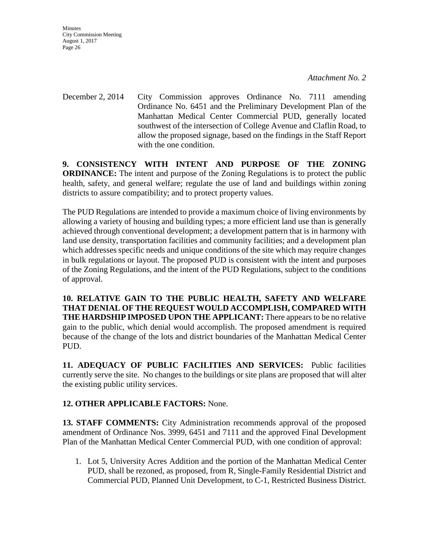**Minutes** City Commission Meeting August 1, 2017 Page 26

December 2, 2014 City Commission approves Ordinance No. 7111 amending Ordinance No. 6451 and the Preliminary Development Plan of the Manhattan Medical Center Commercial PUD, generally located southwest of the intersection of College Avenue and Claflin Road, to allow the proposed signage, based on the findings in the Staff Report with the one condition.

**9. CONSISTENCY WITH INTENT AND PURPOSE OF THE ZONING ORDINANCE:** The intent and purpose of the Zoning Regulations is to protect the public health, safety, and general welfare; regulate the use of land and buildings within zoning districts to assure compatibility; and to protect property values.

The PUD Regulations are intended to provide a maximum choice of living environments by allowing a variety of housing and building types; a more efficient land use than is generally achieved through conventional development; a development pattern that is in harmony with land use density, transportation facilities and community facilities; and a development plan which addresses specific needs and unique conditions of the site which may require changes in bulk regulations or layout. The proposed PUD is consistent with the intent and purposes of the Zoning Regulations, and the intent of the PUD Regulations, subject to the conditions of approval.

**10. RELATIVE GAIN TO THE PUBLIC HEALTH, SAFETY AND WELFARE THAT DENIAL OF THE REQUEST WOULD ACCOMPLISH, COMPARED WITH THE HARDSHIP IMPOSED UPON THE APPLICANT:** There appears to be no relative gain to the public, which denial would accomplish. The proposed amendment is required because of the change of the lots and district boundaries of the Manhattan Medical Center PUD.

**11. ADEQUACY OF PUBLIC FACILITIES AND SERVICES:** Public facilities currently serve the site. No changes to the buildings or site plans are proposed that will alter the existing public utility services.

## **12. OTHER APPLICABLE FACTORS:** None.

**13. STAFF COMMENTS:** City Administration recommends approval of the proposed amendment of Ordinance Nos. 3999, 6451 and 7111 and the approved Final Development Plan of the Manhattan Medical Center Commercial PUD, with one condition of approval:

1. Lot 5, University Acres Addition and the portion of the Manhattan Medical Center PUD, shall be rezoned, as proposed, from R, Single-Family Residential District and Commercial PUD, Planned Unit Development, to C-1, Restricted Business District.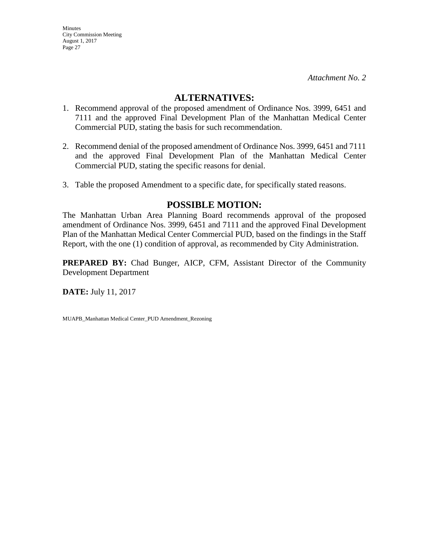### **ALTERNATIVES:**

- 1. Recommend approval of the proposed amendment of Ordinance Nos. 3999, 6451 and 7111 and the approved Final Development Plan of the Manhattan Medical Center Commercial PUD, stating the basis for such recommendation.
- 2. Recommend denial of the proposed amendment of Ordinance Nos. 3999, 6451 and 7111 and the approved Final Development Plan of the Manhattan Medical Center Commercial PUD, stating the specific reasons for denial.
- 3. Table the proposed Amendment to a specific date, for specifically stated reasons.

## **POSSIBLE MOTION:**

The Manhattan Urban Area Planning Board recommends approval of the proposed amendment of Ordinance Nos. 3999, 6451 and 7111 and the approved Final Development Plan of the Manhattan Medical Center Commercial PUD, based on the findings in the Staff Report, with the one (1) condition of approval, as recommended by City Administration.

**PREPARED BY:** Chad Bunger, AICP, CFM, Assistant Director of the Community Development Department

**DATE:** July 11, 2017

MUAPB\_Manhattan Medical Center\_PUD Amendment\_Rezoning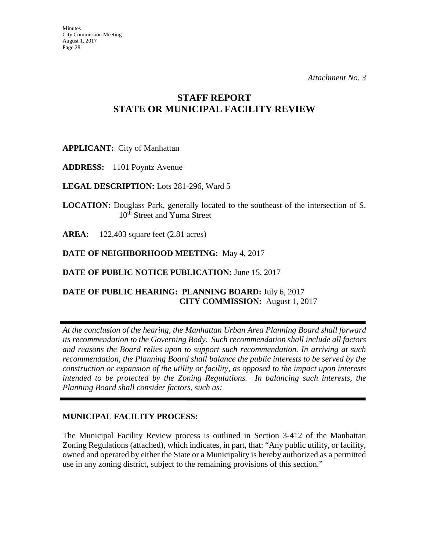## **STAFF REPORT STATE OR MUNICIPAL FACILITY REVIEW**

**APPLICANT:** City of Manhattan

**ADDRESS:** 1101 Poyntz Avenue

**LEGAL DESCRIPTION:** Lots 281-296, Ward 5

**LOCATION:** Douglass Park, generally located to the southeast of the intersection of S. 10<sup>th</sup> Street and Yuma Street

**AREA:** 122,403 square feet (2.81 acres)

**DATE OF NEIGHBORHOOD MEETING:** May 4, 2017

**DATE OF PUBLIC NOTICE PUBLICATION: June 15, 2017** 

## **DATE OF PUBLIC HEARING: PLANNING BOARD:** July 6, 2017 **CITY COMMISSION:** August 1, 2017

*At the conclusion of the hearing, the Manhattan Urban Area Planning Board shall forward its recommendation to the Governing Body. Such recommendation shall include all factors and reasons the Board relies upon to support such recommendation. In arriving at such recommendation, the Planning Board shall balance the public interests to be served by the construction or expansion of the utility or facility, as opposed to the impact upon interests intended to be protected by the Zoning Regulations. In balancing such interests, the Planning Board shall consider factors, such as:* 

### **MUNICIPAL FACILITY PROCESS:**

The Municipal Facility Review process is outlined in Section 3-412 of the Manhattan Zoning Regulations (attached), which indicates, in part, that: "Any public utility, or facility, owned and operated by either the State or a Municipality is hereby authorized as a permitted use in any zoning district, subject to the remaining provisions of this section."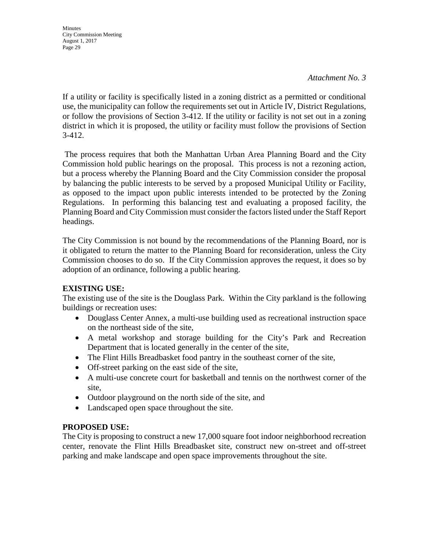#### *Attachment No. 3*

If a utility or facility is specifically listed in a zoning district as a permitted or conditional use, the municipality can follow the requirements set out in Article IV, District Regulations, or follow the provisions of Section 3-412. If the utility or facility is not set out in a zoning district in which it is proposed, the utility or facility must follow the provisions of Section 3-412.

The process requires that both the Manhattan Urban Area Planning Board and the City Commission hold public hearings on the proposal. This process is not a rezoning action, but a process whereby the Planning Board and the City Commission consider the proposal by balancing the public interests to be served by a proposed Municipal Utility or Facility, as opposed to the impact upon public interests intended to be protected by the Zoning Regulations. In performing this balancing test and evaluating a proposed facility, the Planning Board and City Commission must consider the factors listed under the Staff Report headings.

The City Commission is not bound by the recommendations of the Planning Board, nor is it obligated to return the matter to the Planning Board for reconsideration, unless the City Commission chooses to do so. If the City Commission approves the request, it does so by adoption of an ordinance, following a public hearing.

#### **EXISTING USE:**

The existing use of the site is the Douglass Park. Within the City parkland is the following buildings or recreation uses:

- Douglass Center Annex, a multi-use building used as recreational instruction space on the northeast side of the site,
- A metal workshop and storage building for the City's Park and Recreation Department that is located generally in the center of the site,
- The Flint Hills Breadbasket food pantry in the southeast corner of the site,
- Off-street parking on the east side of the site,
- A multi-use concrete court for basketball and tennis on the northwest corner of the site,
- Outdoor playground on the north side of the site, and
- Landscaped open space throughout the site.

### **PROPOSED USE:**

The City is proposing to construct a new 17,000 square foot indoor neighborhood recreation center, renovate the Flint Hills Breadbasket site, construct new on-street and off-street parking and make landscape and open space improvements throughout the site.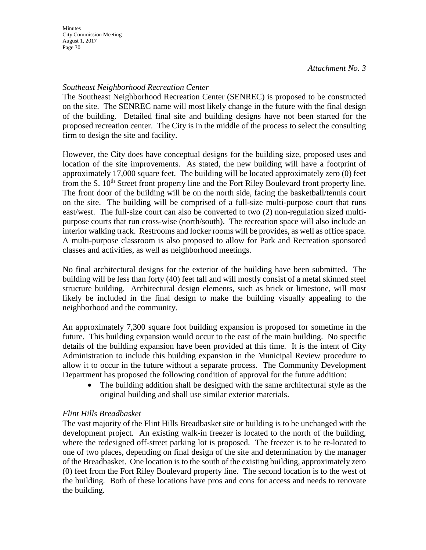### *Southeast Neighborhood Recreation Center*

The Southeast Neighborhood Recreation Center (SENREC) is proposed to be constructed on the site. The SENREC name will most likely change in the future with the final design of the building. Detailed final site and building designs have not been started for the proposed recreation center. The City is in the middle of the process to select the consulting firm to design the site and facility.

However, the City does have conceptual designs for the building size, proposed uses and location of the site improvements. As stated, the new building will have a footprint of approximately 17,000 square feet. The building will be located approximately zero (0) feet from the S. 10<sup>th</sup> Street front property line and the Fort Riley Boulevard front property line. The front door of the building will be on the north side, facing the basketball/tennis court on the site. The building will be comprised of a full-size multi-purpose court that runs east/west. The full-size court can also be converted to two (2) non-regulation sized multipurpose courts that run cross-wise (north/south). The recreation space will also include an interior walking track. Restrooms and locker rooms will be provides, as well as office space. A multi-purpose classroom is also proposed to allow for Park and Recreation sponsored classes and activities, as well as neighborhood meetings.

No final architectural designs for the exterior of the building have been submitted. The building will be less than forty (40) feet tall and will mostly consist of a metal skinned steel structure building. Architectural design elements, such as brick or limestone, will most likely be included in the final design to make the building visually appealing to the neighborhood and the community.

An approximately 7,300 square foot building expansion is proposed for sometime in the future. This building expansion would occur to the east of the main building. No specific details of the building expansion have been provided at this time. It is the intent of City Administration to include this building expansion in the Municipal Review procedure to allow it to occur in the future without a separate process. The Community Development Department has proposed the following condition of approval for the future addition:

• The building addition shall be designed with the same architectural style as the original building and shall use similar exterior materials.

### *Flint Hills Breadbasket*

The vast majority of the Flint Hills Breadbasket site or building is to be unchanged with the development project. An existing walk-in freezer is located to the north of the building, where the redesigned off-street parking lot is proposed. The freezer is to be re-located to one of two places, depending on final design of the site and determination by the manager of the Breadbasket. One location is to the south of the existing building, approximately zero (0) feet from the Fort Riley Boulevard property line. The second location is to the west of the building. Both of these locations have pros and cons for access and needs to renovate the building.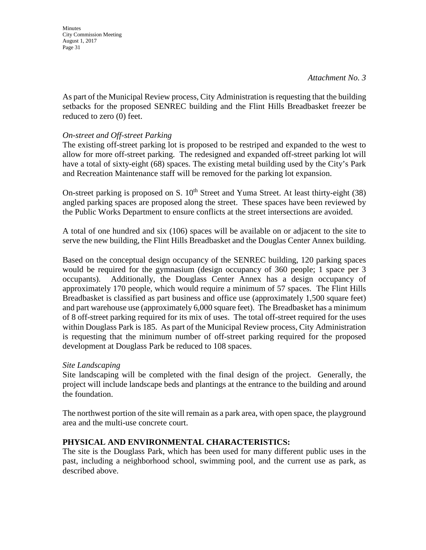**Minutes** 

*Attachment No. 3* 

As part of the Municipal Review process, City Administration is requesting that the building setbacks for the proposed SENREC building and the Flint Hills Breadbasket freezer be reduced to zero (0) feet.

#### *On-street and Off-street Parking*

The existing off-street parking lot is proposed to be restriped and expanded to the west to allow for more off-street parking. The redesigned and expanded off-street parking lot will have a total of sixty-eight (68) spaces. The existing metal building used by the City's Park and Recreation Maintenance staff will be removed for the parking lot expansion.

On-street parking is proposed on S.  $10<sup>th</sup>$  Street and Yuma Street. At least thirty-eight (38) angled parking spaces are proposed along the street. These spaces have been reviewed by the Public Works Department to ensure conflicts at the street intersections are avoided.

A total of one hundred and six (106) spaces will be available on or adjacent to the site to serve the new building, the Flint Hills Breadbasket and the Douglas Center Annex building.

Based on the conceptual design occupancy of the SENREC building, 120 parking spaces would be required for the gymnasium (design occupancy of 360 people; 1 space per 3 occupants). Additionally, the Douglass Center Annex has a design occupancy of approximately 170 people, which would require a minimum of 57 spaces. The Flint Hills Breadbasket is classified as part business and office use (approximately 1,500 square feet) and part warehouse use (approximately 6,000 square feet). The Breadbasket has a minimum of 8 off-street parking required for its mix of uses. The total off-street required for the uses within Douglass Park is 185. As part of the Municipal Review process, City Administration is requesting that the minimum number of off-street parking required for the proposed development at Douglass Park be reduced to 108 spaces.

#### *Site Landscaping*

Site landscaping will be completed with the final design of the project. Generally, the project will include landscape beds and plantings at the entrance to the building and around the foundation.

The northwest portion of the site will remain as a park area, with open space, the playground area and the multi-use concrete court.

### **PHYSICAL AND ENVIRONMENTAL CHARACTERISTICS:**

The site is the Douglass Park, which has been used for many different public uses in the past, including a neighborhood school, swimming pool, and the current use as park, as described above.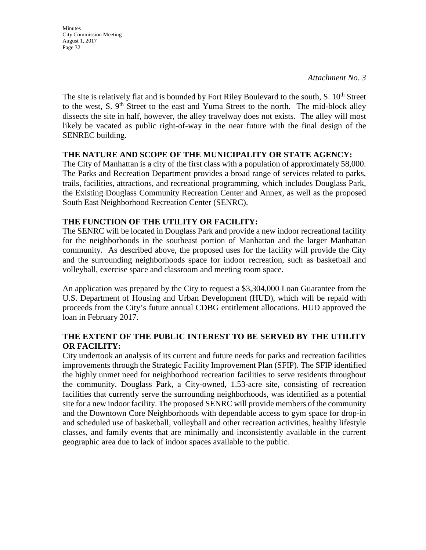*Attachment No. 3* 

The site is relatively flat and is bounded by Fort Riley Boulevard to the south,  $S. 10<sup>th</sup>$  Street to the west, S.  $9<sup>th</sup>$  Street to the east and Yuma Street to the north. The mid-block alley dissects the site in half, however, the alley travelway does not exists. The alley will most likely be vacated as public right-of-way in the near future with the final design of the SENREC building.

#### **THE NATURE AND SCOPE OF THE MUNICIPALITY OR STATE AGENCY:**

The City of Manhattan is a city of the first class with a population of approximately 58,000. The Parks and Recreation Department provides a broad range of services related to parks, trails, facilities, attractions, and recreational programming, which includes Douglass Park, the Existing Douglass Community Recreation Center and Annex, as well as the proposed South East Neighborhood Recreation Center (SENRC).

### **THE FUNCTION OF THE UTILITY OR FACILITY:**

The SENRC will be located in Douglass Park and provide a new indoor recreational facility for the neighborhoods in the southeast portion of Manhattan and the larger Manhattan community. As described above, the proposed uses for the facility will provide the City and the surrounding neighborhoods space for indoor recreation, such as basketball and volleyball, exercise space and classroom and meeting room space.

An application was prepared by the City to request a \$3,304,000 Loan Guarantee from the U.S. Department of Housing and Urban Development (HUD), which will be repaid with proceeds from the City's future annual CDBG entitlement allocations. HUD approved the loan in February 2017.

#### **THE EXTENT OF THE PUBLIC INTEREST TO BE SERVED BY THE UTILITY OR FACILITY:**

City undertook an analysis of its current and future needs for parks and recreation facilities improvements through the Strategic Facility Improvement Plan (SFIP). The SFIP identified the highly unmet need for neighborhood recreation facilities to serve residents throughout the community. Douglass Park, a City-owned, 1.53-acre site, consisting of recreation facilities that currently serve the surrounding neighborhoods, was identified as a potential site for a new indoor facility. The proposed SENRC will provide members of the community and the Downtown Core Neighborhoods with dependable access to gym space for drop-in and scheduled use of basketball, volleyball and other recreation activities, healthy lifestyle classes, and family events that are minimally and inconsistently available in the current geographic area due to lack of indoor spaces available to the public.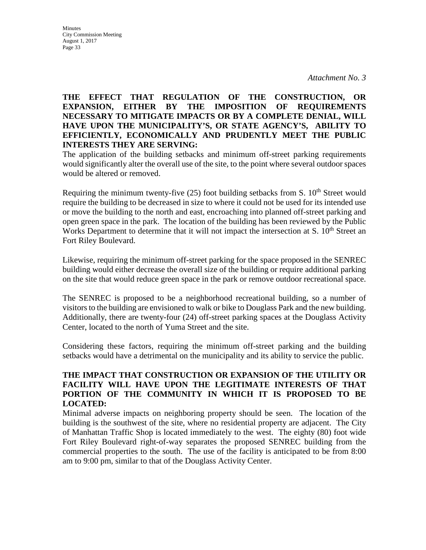#### **Minutes** City Commission Meeting August 1, 2017 Page 33

#### **THE EFFECT THAT REGULATION OF THE CONSTRUCTION, OR EXPANSION, EITHER BY THE IMPOSITION OF REQUIREMENTS NECESSARY TO MITIGATE IMPACTS OR BY A COMPLETE DENIAL, WILL HAVE UPON THE MUNICIPALITY'S, OR STATE AGENCY'S, ABILITY TO EFFICIENTLY, ECONOMICALLY AND PRUDENTLY MEET THE PUBLIC INTERESTS THEY ARE SERVING:**

The application of the building setbacks and minimum off-street parking requirements would significantly alter the overall use of the site, to the point where several outdoor spaces would be altered or removed.

Requiring the minimum twenty-five  $(25)$  foot building setbacks from S.  $10<sup>th</sup>$  Street would require the building to be decreased in size to where it could not be used for its intended use or move the building to the north and east, encroaching into planned off-street parking and open green space in the park. The location of the building has been reviewed by the Public Works Department to determine that it will not impact the intersection at S.  $10<sup>th</sup>$  Street an Fort Riley Boulevard.

Likewise, requiring the minimum off-street parking for the space proposed in the SENREC building would either decrease the overall size of the building or require additional parking on the site that would reduce green space in the park or remove outdoor recreational space.

The SENREC is proposed to be a neighborhood recreational building, so a number of visitors to the building are envisioned to walk or bike to Douglass Park and the new building. Additionally, there are twenty-four (24) off-street parking spaces at the Douglass Activity Center, located to the north of Yuma Street and the site.

Considering these factors, requiring the minimum off-street parking and the building setbacks would have a detrimental on the municipality and its ability to service the public.

### **THE IMPACT THAT CONSTRUCTION OR EXPANSION OF THE UTILITY OR FACILITY WILL HAVE UPON THE LEGITIMATE INTERESTS OF THAT PORTION OF THE COMMUNITY IN WHICH IT IS PROPOSED TO BE LOCATED:**

Minimal adverse impacts on neighboring property should be seen. The location of the building is the southwest of the site, where no residential property are adjacent. The City of Manhattan Traffic Shop is located immediately to the west. The eighty (80) foot wide Fort Riley Boulevard right-of-way separates the proposed SENREC building from the commercial properties to the south. The use of the facility is anticipated to be from 8:00 am to 9:00 pm, similar to that of the Douglass Activity Center.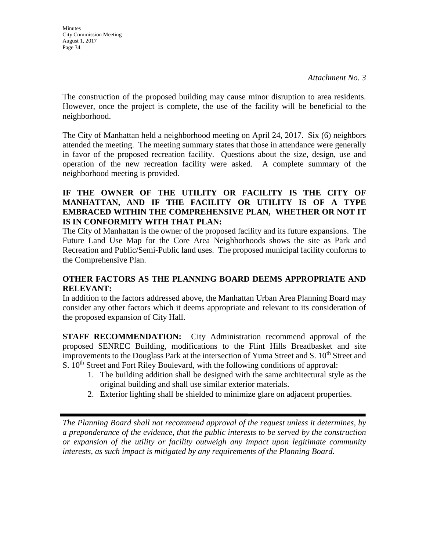The construction of the proposed building may cause minor disruption to area residents. However, once the project is complete, the use of the facility will be beneficial to the neighborhood.

The City of Manhattan held a neighborhood meeting on April 24, 2017. Six (6) neighbors attended the meeting. The meeting summary states that those in attendance were generally in favor of the proposed recreation facility. Questions about the size, design, use and operation of the new recreation facility were asked. A complete summary of the neighborhood meeting is provided.

### **IF THE OWNER OF THE UTILITY OR FACILITY IS THE CITY OF MANHATTAN, AND IF THE FACILITY OR UTILITY IS OF A TYPE EMBRACED WITHIN THE COMPREHENSIVE PLAN, WHETHER OR NOT IT IS IN CONFORMITY WITH THAT PLAN:**

The City of Manhattan is the owner of the proposed facility and its future expansions. The Future Land Use Map for the Core Area Neighborhoods shows the site as Park and Recreation and Public/Semi-Public land uses. The proposed municipal facility conforms to the Comprehensive Plan.

## **OTHER FACTORS AS THE PLANNING BOARD DEEMS APPROPRIATE AND RELEVANT:**

In addition to the factors addressed above, the Manhattan Urban Area Planning Board may consider any other factors which it deems appropriate and relevant to its consideration of the proposed expansion of City Hall.

**STAFF RECOMMENDATION:** City Administration recommend approval of the proposed SENREC Building, modifications to the Flint Hills Breadbasket and site improvements to the Douglass Park at the intersection of Yuma Street and S. 10<sup>th</sup> Street and S.  $10<sup>th</sup>$  Street and Fort Riley Boulevard, with the following conditions of approval:

- 1. The building addition shall be designed with the same architectural style as the original building and shall use similar exterior materials.
- 2. Exterior lighting shall be shielded to minimize glare on adjacent properties.

*The Planning Board shall not recommend approval of the request unless it determines, by a preponderance of the evidence, that the public interests to be served by the construction or expansion of the utility or facility outweigh any impact upon legitimate community interests, as such impact is mitigated by any requirements of the Planning Board.*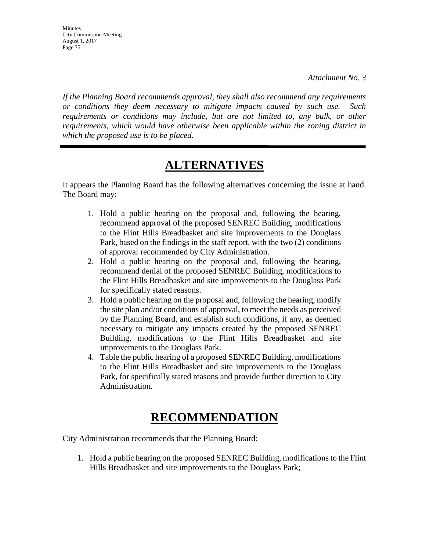**Minutes** City Commission Meeting August 1, 2017 Page 35

*If the Planning Board recommends approval, they shall also recommend any requirements or conditions they deem necessary to mitigate impacts caused by such use. Such requirements or conditions may include, but are not limited to, any bulk, or other requirements, which would have otherwise been applicable within the zoning district in which the proposed use is to be placed.* 

# **ALTERNATIVES**

It appears the Planning Board has the following alternatives concerning the issue at hand. The Board may:

- 1. Hold a public hearing on the proposal and, following the hearing, recommend approval of the proposed SENREC Building, modifications to the Flint Hills Breadbasket and site improvements to the Douglass Park, based on the findings in the staff report, with the two (2) conditions of approval recommended by City Administration.
- 2. Hold a public hearing on the proposal and, following the hearing, recommend denial of the proposed SENREC Building, modifications to the Flint Hills Breadbasket and site improvements to the Douglass Park for specifically stated reasons.
- 3. Hold a public hearing on the proposal and, following the hearing, modify the site plan and/or conditions of approval, to meet the needs as perceived by the Planning Board, and establish such conditions, if any, as deemed necessary to mitigate any impacts created by the proposed SENREC Building, modifications to the Flint Hills Breadbasket and site improvements to the Douglass Park.
- 4. Table the public hearing of a proposed SENREC Building, modifications to the Flint Hills Breadbasket and site improvements to the Douglass Park, for specifically stated reasons and provide further direction to City Administration.

# **RECOMMENDATION**

City Administration recommends that the Planning Board:

1. Hold a public hearing on the proposed SENREC Building, modifications to the Flint Hills Breadbasket and site improvements to the Douglass Park;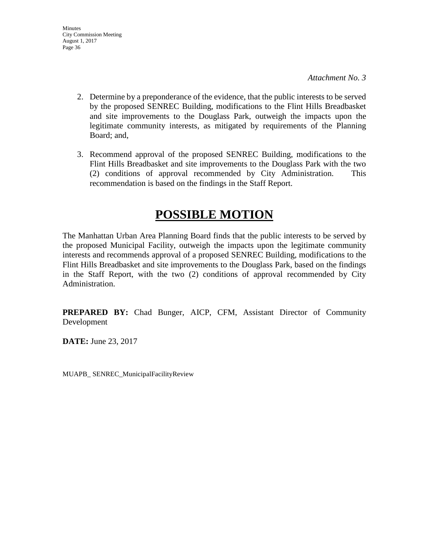- 2. Determine by a preponderance of the evidence, that the public interests to be served by the proposed SENREC Building, modifications to the Flint Hills Breadbasket and site improvements to the Douglass Park, outweigh the impacts upon the legitimate community interests, as mitigated by requirements of the Planning Board; and,
- 3. Recommend approval of the proposed SENREC Building, modifications to the Flint Hills Breadbasket and site improvements to the Douglass Park with the two (2) conditions of approval recommended by City Administration. This recommendation is based on the findings in the Staff Report.

# **POSSIBLE MOTION**

The Manhattan Urban Area Planning Board finds that the public interests to be served by the proposed Municipal Facility, outweigh the impacts upon the legitimate community interests and recommends approval of a proposed SENREC Building, modifications to the Flint Hills Breadbasket and site improvements to the Douglass Park, based on the findings in the Staff Report, with the two (2) conditions of approval recommended by City Administration.

**PREPARED BY:** Chad Bunger, AICP, CFM, Assistant Director of Community Development

**DATE:** June 23, 2017

MUAPB\_ SENREC\_MunicipalFacilityReview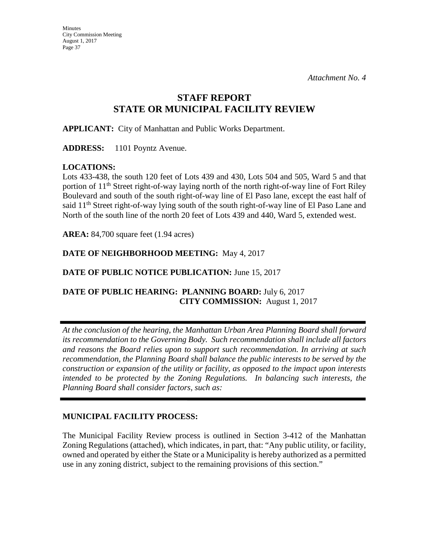## **STAFF REPORT STATE OR MUNICIPAL FACILITY REVIEW**

**APPLICANT:** City of Manhattan and Public Works Department.

**ADDRESS:** 1101 Poyntz Avenue.

### **LOCATIONS:**

Lots 433-438, the south 120 feet of Lots 439 and 430, Lots 504 and 505, Ward 5 and that portion of 11<sup>th</sup> Street right-of-way laying north of the north right-of-way line of Fort Riley Boulevard and south of the south right-of-way line of El Paso lane, except the east half of said 11<sup>th</sup> Street right-of-way lying south of the south right-of-way line of El Paso Lane and North of the south line of the north 20 feet of Lots 439 and 440, Ward 5, extended west.

**AREA:** 84,700 square feet (1.94 acres)

## **DATE OF NEIGHBORHOOD MEETING:** May 4, 2017

### **DATE OF PUBLIC NOTICE PUBLICATION:** June 15, 2017

## **DATE OF PUBLIC HEARING: PLANNING BOARD:** July 6, 2017  **CITY COMMISSION:** August 1, 2017

*At the conclusion of the hearing, the Manhattan Urban Area Planning Board shall forward its recommendation to the Governing Body. Such recommendation shall include all factors and reasons the Board relies upon to support such recommendation. In arriving at such recommendation, the Planning Board shall balance the public interests to be served by the construction or expansion of the utility or facility, as opposed to the impact upon interests intended to be protected by the Zoning Regulations. In balancing such interests, the Planning Board shall consider factors, such as:* 

### **MUNICIPAL FACILITY PROCESS:**

The Municipal Facility Review process is outlined in Section 3-412 of the Manhattan Zoning Regulations (attached), which indicates, in part, that: "Any public utility, or facility, owned and operated by either the State or a Municipality is hereby authorized as a permitted use in any zoning district, subject to the remaining provisions of this section."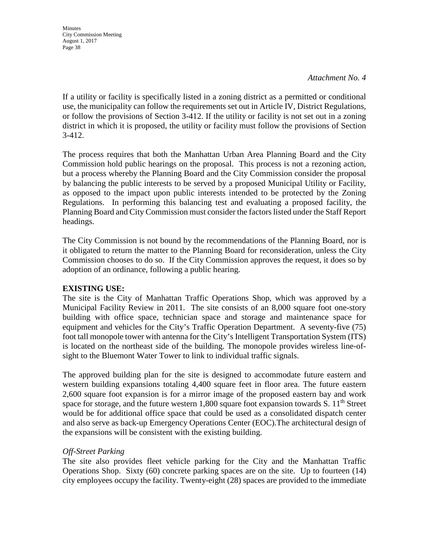*Attachment No. 4* 

If a utility or facility is specifically listed in a zoning district as a permitted or conditional use, the municipality can follow the requirements set out in Article IV, District Regulations, or follow the provisions of Section 3-412. If the utility or facility is not set out in a zoning district in which it is proposed, the utility or facility must follow the provisions of Section 3-412.

The process requires that both the Manhattan Urban Area Planning Board and the City Commission hold public hearings on the proposal. This process is not a rezoning action, but a process whereby the Planning Board and the City Commission consider the proposal by balancing the public interests to be served by a proposed Municipal Utility or Facility, as opposed to the impact upon public interests intended to be protected by the Zoning Regulations. In performing this balancing test and evaluating a proposed facility, the Planning Board and City Commission must consider the factors listed under the Staff Report headings.

The City Commission is not bound by the recommendations of the Planning Board, nor is it obligated to return the matter to the Planning Board for reconsideration, unless the City Commission chooses to do so. If the City Commission approves the request, it does so by adoption of an ordinance, following a public hearing.

### **EXISTING USE:**

The site is the City of Manhattan Traffic Operations Shop, which was approved by a Municipal Facility Review in 2011. The site consists of an 8,000 square foot one-story building with office space, technician space and storage and maintenance space for equipment and vehicles for the City's Traffic Operation Department. A seventy-five (75) foot tall monopole tower with antenna for the City's Intelligent Transportation System (ITS) is located on the northeast side of the building. The monopole provides wireless line-ofsight to the Bluemont Water Tower to link to individual traffic signals.

The approved building plan for the site is designed to accommodate future eastern and western building expansions totaling 4,400 square feet in floor area. The future eastern 2,600 square foot expansion is for a mirror image of the proposed eastern bay and work space for storage, and the future western  $1,800$  square foot expansion towards S.  $11<sup>th</sup>$  Street would be for additional office space that could be used as a consolidated dispatch center and also serve as back-up Emergency Operations Center (EOC).The architectural design of the expansions will be consistent with the existing building.

### *Off-Street Parking*

The site also provides fleet vehicle parking for the City and the Manhattan Traffic Operations Shop. Sixty (60) concrete parking spaces are on the site. Up to fourteen (14) city employees occupy the facility. Twenty-eight (28) spaces are provided to the immediate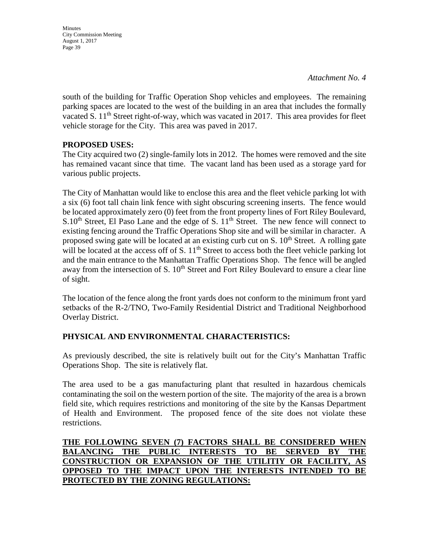**Minutes** City Commission Meeting August 1, 2017 Page 39

south of the building for Traffic Operation Shop vehicles and employees. The remaining parking spaces are located to the west of the building in an area that includes the formally vacated S.  $11<sup>th</sup>$  Street right-of-way, which was vacated in 2017. This area provides for fleet vehicle storage for the City. This area was paved in 2017.

## **PROPOSED USES:**

The City acquired two (2) single-family lots in 2012. The homes were removed and the site has remained vacant since that time. The vacant land has been used as a storage yard for various public projects.

The City of Manhattan would like to enclose this area and the fleet vehicle parking lot with a six (6) foot tall chain link fence with sight obscuring screening inserts. The fence would be located approximately zero (0) feet from the front property lines of Fort Riley Boulevard,  $S.10<sup>th</sup>$  Street, El Paso Lane and the edge of S.  $11<sup>th</sup>$  Street. The new fence will connect to existing fencing around the Traffic Operations Shop site and will be similar in character. A proposed swing gate will be located at an existing curb cut on S.  $10<sup>th</sup>$  Street. A rolling gate will be located at the access off of S.  $11<sup>th</sup>$  Street to access both the fleet vehicle parking lot and the main entrance to the Manhattan Traffic Operations Shop. The fence will be angled away from the intersection of S. 10<sup>th</sup> Street and Fort Riley Boulevard to ensure a clear line of sight.

The location of the fence along the front yards does not conform to the minimum front yard setbacks of the R-2/TNO, Two-Family Residential District and Traditional Neighborhood Overlay District.

## **PHYSICAL AND ENVIRONMENTAL CHARACTERISTICS:**

As previously described, the site is relatively built out for the City's Manhattan Traffic Operations Shop. The site is relatively flat.

The area used to be a gas manufacturing plant that resulted in hazardous chemicals contaminating the soil on the western portion of the site. The majority of the area is a brown field site, which requires restrictions and monitoring of the site by the Kansas Department of Health and Environment. The proposed fence of the site does not violate these restrictions.

## **THE FOLLOWING SEVEN (7) FACTORS SHALL BE CONSIDERED WHEN BALANCING THE PUBLIC INTERESTS TO BE SERVED BY THE CONSTRUCTION OR EXPANSION OF THE UTILITIY OR FACILITY, AS OPPOSED TO THE IMPACT UPON THE INTERESTS INTENDED TO BE PROTECTED BY THE ZONING REGULATIONS:**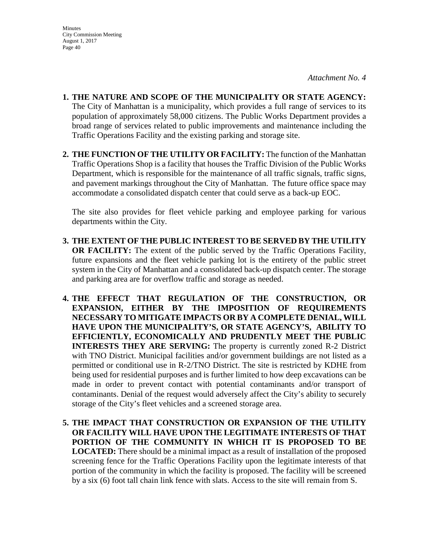- **1. THE NATURE AND SCOPE OF THE MUNICIPALITY OR STATE AGENCY:**  The City of Manhattan is a municipality, which provides a full range of services to its population of approximately 58,000 citizens. The Public Works Department provides a broad range of services related to public improvements and maintenance including the Traffic Operations Facility and the existing parking and storage site.
- **2. THE FUNCTION OF THE UTILITY OR FACILITY:** The function of the Manhattan Traffic Operations Shop is a facility that houses the Traffic Division of the Public Works Department, which is responsible for the maintenance of all traffic signals, traffic signs, and pavement markings throughout the City of Manhattan. The future office space may accommodate a consolidated dispatch center that could serve as a back-up EOC.

The site also provides for fleet vehicle parking and employee parking for various departments within the City.

- **3. THE EXTENT OF THE PUBLIC INTEREST TO BE SERVED BY THE UTILITY OR FACILITY:** The extent of the public served by the Traffic Operations Facility, future expansions and the fleet vehicle parking lot is the entirety of the public street system in the City of Manhattan and a consolidated back-up dispatch center. The storage and parking area are for overflow traffic and storage as needed.
- **4. THE EFFECT THAT REGULATION OF THE CONSTRUCTION, OR EXPANSION, EITHER BY THE IMPOSITION OF REQUIREMENTS NECESSARY TO MITIGATE IMPACTS OR BY A COMPLETE DENIAL, WILL HAVE UPON THE MUNICIPALITY'S, OR STATE AGENCY'S, ABILITY TO EFFICIENTLY, ECONOMICALLY AND PRUDENTLY MEET THE PUBLIC INTERESTS THEY ARE SERVING:** The property is currently zoned R-2 District with TNO District. Municipal facilities and/or government buildings are not listed as a permitted or conditional use in R-2/TNO District. The site is restricted by KDHE from being used for residential purposes and is further limited to how deep excavations can be made in order to prevent contact with potential contaminants and/or transport of contaminants. Denial of the request would adversely affect the City's ability to securely storage of the City's fleet vehicles and a screened storage area.
- **5. THE IMPACT THAT CONSTRUCTION OR EXPANSION OF THE UTILITY OR FACILITY WILL HAVE UPON THE LEGITIMATE INTERESTS OF THAT PORTION OF THE COMMUNITY IN WHICH IT IS PROPOSED TO BE LOCATED:** There should be a minimal impact as a result of installation of the proposed screening fence for the Traffic Operations Facility upon the legitimate interests of that portion of the community in which the facility is proposed. The facility will be screened by a six (6) foot tall chain link fence with slats. Access to the site will remain from S.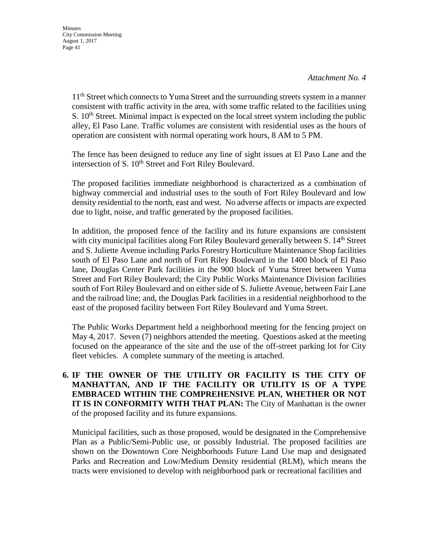11<sup>th</sup> Street which connects to Yuma Street and the surrounding streets system in a manner consistent with traffic activity in the area, with some traffic related to the facilities using S.  $10<sup>th</sup>$  Street. Minimal impact is expected on the local street system including the public alley, El Paso Lane. Traffic volumes are consistent with residential uses as the hours of operation are consistent with normal operating work hours, 8 AM to 5 PM.

The fence has been designed to reduce any line of sight issues at El Paso Lane and the intersection of S. 10<sup>th</sup> Street and Fort Riley Boulevard.

The proposed facilities immediate neighborhood is characterized as a combination of highway commercial and industrial uses to the south of Fort Riley Boulevard and low density residential to the north, east and west. No adverse affects or impacts are expected due to light, noise, and traffic generated by the proposed facilities.

In addition, the proposed fence of the facility and its future expansions are consistent with city municipal facilities along Fort Riley Boulevard generally between S. 14<sup>th</sup> Street and S. Juliette Avenue including Parks Forestry Horticulture Maintenance Shop facilities south of El Paso Lane and north of Fort Riley Boulevard in the 1400 block of El Paso lane, Douglas Center Park facilities in the 900 block of Yuma Street between Yuma Street and Fort Riley Boulevard; the City Public Works Maintenance Division facilities south of Fort Riley Boulevard and on either side of S. Juliette Avenue, between Fair Lane and the railroad line; and, the Douglas Park facilities in a residential neighborhood to the east of the proposed facility between Fort Riley Boulevard and Yuma Street.

The Public Works Department held a neighborhood meeting for the fencing project on May 4, 2017. Seven (7) neighbors attended the meeting. Questions asked at the meeting focused on the appearance of the site and the use of the off-street parking lot for City fleet vehicles. A complete summary of the meeting is attached.

**6. IF THE OWNER OF THE UTILITY OR FACILITY IS THE CITY OF MANHATTAN, AND IF THE FACILITY OR UTILITY IS OF A TYPE EMBRACED WITHIN THE COMPREHENSIVE PLAN, WHETHER OR NOT IT IS IN CONFORMITY WITH THAT PLAN:** The City of Manhattan is the owner of the proposed facility and its future expansions.

 Municipal facilities, such as those proposed, would be designated in the Comprehensive Plan as a Public/Semi-Public use, or possibly Industrial. The proposed facilities are shown on the Downtown Core Neighborhoods Future Land Use map and designated Parks and Recreation and Low/Medium Density residential (RLM), which means the tracts were envisioned to develop with neighborhood park or recreational facilities and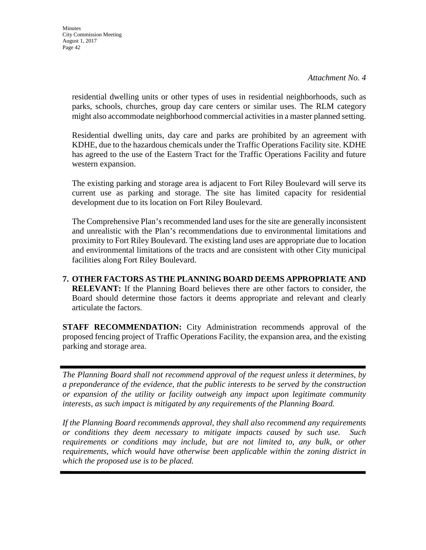residential dwelling units or other types of uses in residential neighborhoods, such as parks, schools, churches, group day care centers or similar uses. The RLM category might also accommodate neighborhood commercial activities in a master planned setting.

Residential dwelling units, day care and parks are prohibited by an agreement with KDHE, due to the hazardous chemicals under the Traffic Operations Facility site. KDHE has agreed to the use of the Eastern Tract for the Traffic Operations Facility and future western expansion.

The existing parking and storage area is adjacent to Fort Riley Boulevard will serve its current use as parking and storage. The site has limited capacity for residential development due to its location on Fort Riley Boulevard.

The Comprehensive Plan's recommended land uses for the site are generally inconsistent and unrealistic with the Plan's recommendations due to environmental limitations and proximity to Fort Riley Boulevard. The existing land uses are appropriate due to location and environmental limitations of the tracts and are consistent with other City municipal facilities along Fort Riley Boulevard.

**7. OTHER FACTORS AS THE PLANNING BOARD DEEMS APPROPRIATE AND RELEVANT:** If the Planning Board believes there are other factors to consider, the Board should determine those factors it deems appropriate and relevant and clearly articulate the factors.

**STAFF RECOMMENDATION:** City Administration recommends approval of the proposed fencing project of Traffic Operations Facility, the expansion area, and the existing parking and storage area.

*The Planning Board shall not recommend approval of the request unless it determines, by a preponderance of the evidence, that the public interests to be served by the construction or expansion of the utility or facility outweigh any impact upon legitimate community interests, as such impact is mitigated by any requirements of the Planning Board.* 

*If the Planning Board recommends approval, they shall also recommend any requirements or conditions they deem necessary to mitigate impacts caused by such use. Such*  requirements or conditions may include, but are not limited to, any bulk, or other *requirements, which would have otherwise been applicable within the zoning district in which the proposed use is to be placed.*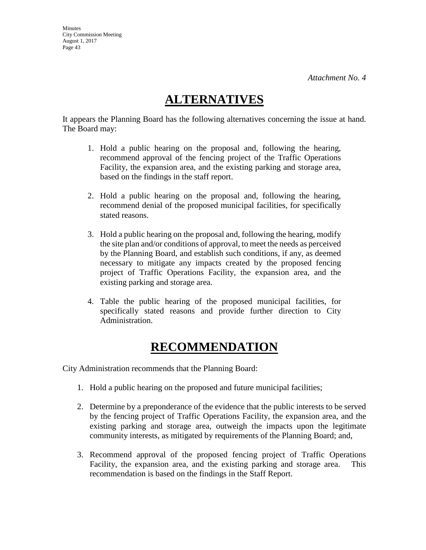# **ALTERNATIVES**

It appears the Planning Board has the following alternatives concerning the issue at hand. The Board may:

- 1. Hold a public hearing on the proposal and, following the hearing, recommend approval of the fencing project of the Traffic Operations Facility, the expansion area, and the existing parking and storage area, based on the findings in the staff report.
- 2. Hold a public hearing on the proposal and, following the hearing, recommend denial of the proposed municipal facilities, for specifically stated reasons.
- 3. Hold a public hearing on the proposal and, following the hearing, modify the site plan and/or conditions of approval, to meet the needs as perceived by the Planning Board, and establish such conditions, if any, as deemed necessary to mitigate any impacts created by the proposed fencing project of Traffic Operations Facility, the expansion area, and the existing parking and storage area.
- 4. Table the public hearing of the proposed municipal facilities, for specifically stated reasons and provide further direction to City Administration.

# **RECOMMENDATION**

City Administration recommends that the Planning Board:

- 1. Hold a public hearing on the proposed and future municipal facilities;
- 2. Determine by a preponderance of the evidence that the public interests to be served by the fencing project of Traffic Operations Facility, the expansion area, and the existing parking and storage area, outweigh the impacts upon the legitimate community interests, as mitigated by requirements of the Planning Board; and,
- 3. Recommend approval of the proposed fencing project of Traffic Operations Facility, the expansion area, and the existing parking and storage area. This recommendation is based on the findings in the Staff Report.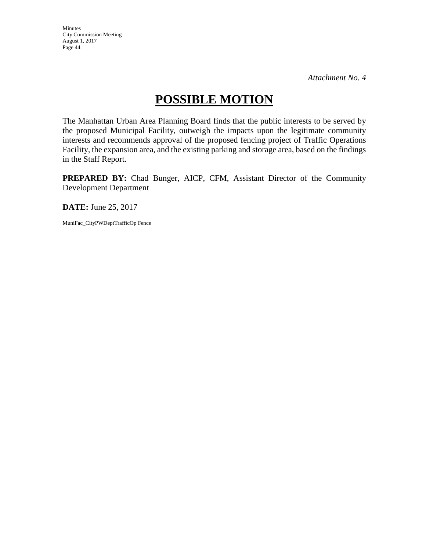Minutes City Commission Meeting August 1, 2017 Page 44

# **POSSIBLE MOTION**

The Manhattan Urban Area Planning Board finds that the public interests to be served by the proposed Municipal Facility, outweigh the impacts upon the legitimate community interests and recommends approval of the proposed fencing project of Traffic Operations Facility, the expansion area, and the existing parking and storage area, based on the findings in the Staff Report.

**PREPARED BY:** Chad Bunger, AICP, CFM, Assistant Director of the Community Development Department

**DATE:** June 25, 2017

MuniFac\_CityPWDeptTrafficOp Fence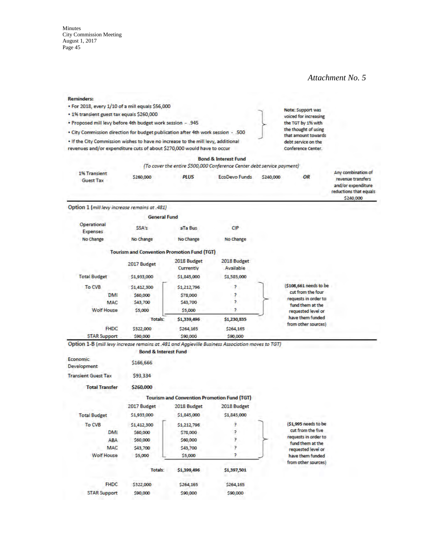reductions that equals \$240,000

#### **Reminders:**

|  | Keminders: |  |  |                                                  |  |
|--|------------|--|--|--------------------------------------------------|--|
|  |            |  |  | . For 2018, every 1/10 of a mill equals \$56,000 |  |

- . 1% transient guest tax equals \$260,000
- . Proposed mill levy before 4th budget work session .945
- . City Commission direction for budget publication after 4th work session .500

. If the City Commission wishes to have no increase to the mill levy, additional revenues and/or expenditure cuts of about \$270,000 would have to occur

voiced for increasing the TGT by 1% with the thought of using that amount towards debt service on the Conference Center.

Note: Support was

|                                  |           |             | <b>Bond &amp; Interest Fund</b>                                        |           |    |                                                               |
|----------------------------------|-----------|-------------|------------------------------------------------------------------------|-----------|----|---------------------------------------------------------------|
|                                  |           |             | (To cover the entire \$500,000 Conference Center debt service payment) |           |    |                                                               |
| 1% Transient<br><b>Guest Tax</b> | \$260,000 | <b>PLUS</b> | <b>EcoDevo Funds</b>                                                   | \$240,000 | ΟR | Any combination of<br>revenue transfers<br>and/or expenditure |

#### Option 1 (mill levy increase remains at .481)

|                         | <b>General Fund</b> |                                                    |                          |                                          |
|-------------------------|---------------------|----------------------------------------------------|--------------------------|------------------------------------------|
| Operational<br>Expenses | SSA's               | aTa Bus                                            | CIP                      |                                          |
| No Change               | No Change           | No Change                                          | No Change                |                                          |
|                         |                     | <b>Tourism and Convention Promotion Fund (TGT)</b> |                          |                                          |
|                         | 2017 Budget         | 2018 Budget<br>Currently                           | 2018 Budget<br>Available |                                          |
| <b>Total Budget</b>     | \$1,933,000         | \$1,845,000                                        | 51,585,000               |                                          |
| To CVB                  | \$1,412,300         | \$1,212,796                                        | P                        | (\$108,661 needs to be                   |
| DMI                     | \$60,000            | \$78,000                                           | P                        | cut from the four                        |
| MAC                     | \$43,700            | \$43,700                                           | Þ                        | requests in order to<br>fund them at the |
| <b>Wolf House</b>       | \$5,000             | \$5,000                                            | Þ                        | requested level or                       |
|                         | Totals:             | \$1,339,496                                        | \$1,230,835              | have them funded<br>from other sources)  |
| <b>FHDC</b>             | \$322,000           | \$264,165                                          | \$264,165                |                                          |
| <b>STAR Support</b>     | \$90,000            | \$90,000                                           | 590,000                  |                                          |

Option 1-B (mill levy increase remains at .481 and Aggieville Business Association moves to TGT)

|                            | <b>Bond &amp; Interest Fund</b> |                                                    |             |                                          |
|----------------------------|---------------------------------|----------------------------------------------------|-------------|------------------------------------------|
| Economic<br>Development    | \$166,666                       |                                                    |             |                                          |
| <b>Transient Guest Tax</b> | \$93,334                        |                                                    |             |                                          |
| <b>Total Transfer</b>      | \$260,000                       |                                                    |             |                                          |
|                            |                                 | <b>Tourism and Convention Promotion Fund (TGT)</b> |             |                                          |
|                            | 2017 Budget                     | 2018 Budget                                        | 2018 Budget |                                          |
| <b>Total Budget</b>        | \$1,933,000                     | \$1,845,000                                        | \$1,845,000 |                                          |
| To CVB                     | \$1,412,300                     | \$1,212,796                                        | P           | (\$1,995 needs to be                     |
| <b>DMI</b>                 | \$60,000                        | \$78,000                                           |             | cut from the five                        |
| <b>ABA</b>                 | \$60,000                        | \$60,000                                           |             | requests in order to<br>fund them at the |
| <b>MAC</b>                 | \$43,700                        | \$43,700                                           |             | requested level or                       |
| <b>Wolf House</b>          | \$5,000                         | \$5,000                                            |             | have them funded<br>from other sources)  |
|                            | Totals:                         | \$1,399,496                                        | \$1,397,501 |                                          |
| <b>FHDC</b>                | \$322,000                       | \$264,165                                          | \$264,165   |                                          |
| <b>STAR Support</b>        | 590,000                         | \$90,000                                           | \$90,000    |                                          |